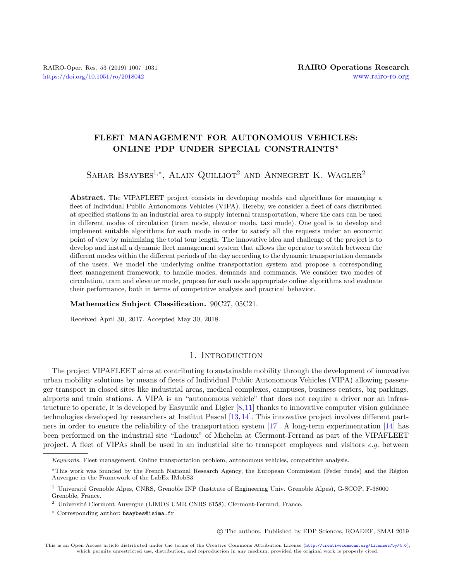# FLEET MANAGEMENT FOR AUTONOMOUS VEHICLES: ONLINE PDP UNDER SPECIAL CONSTRAINTS\*

SAHAR BSAYBES<sup>1,\*</sup>, ALAIN QUILLIOT<sup>2</sup> AND ANNEGRET K. WAGLER<sup>2</sup>

Abstract. The VIPAFLEET project consists in developing models and algorithms for managing a fleet of Individual Public Autonomous Vehicles (VIPA). Hereby, we consider a fleet of cars distributed at specified stations in an industrial area to supply internal transportation, where the cars can be used in different modes of circulation (tram mode, elevator mode, taxi mode). One goal is to develop and implement suitable algorithms for each mode in order to satisfy all the requests under an economic point of view by minimizing the total tour length. The innovative idea and challenge of the project is to develop and install a dynamic fleet management system that allows the operator to switch between the different modes within the different periods of the day according to the dynamic transportation demands of the users. We model the underlying online transportation system and propose a corresponding fleet management framework, to handle modes, demands and commands. We consider two modes of circulation, tram and elevator mode, propose for each mode appropriate online algorithms and evaluate their performance, both in terms of competitive analysis and practical behavior.

Mathematics Subject Classification. 90C27, 05C21.

Received April 30, 2017. Accepted May 30, 2018.

# 1. INTRODUCTION

The project VIPAFLEET aims at contributing to sustainable mobility through the development of innovative urban mobility solutions by means of fleets of Individual Public Autonomous Vehicles (VIPA) allowing passenger transport in closed sites like industrial areas, medical complexes, campuses, business centers, big parkings, airports and train stations. A VIPA is an "autonomous vehicle" that does not require a driver nor an infrastructure to operate, it is developed by Easymile and Ligier [\[8,](#page-24-0)[11\]](#page-24-1) thanks to innovative computer vision guidance technologies developed by researchers at Institut Pascal [\[13,](#page-24-2)[14\]](#page-24-3). This innovative project involves different part-ners in order to ensure the reliability of the transportation system [\[17\]](#page-24-4). A long-term experimentation [\[14\]](#page-24-3) has been performed on the industrial site "Ladoux" of Michelin at Clermont-Ferrand as part of the VIPAFLEET project. A fleet of VIPAs shall be used in an industrial site to transport employees and visitors e.g. between

c The authors. Published by EDP Sciences, ROADEF, SMAI 2019

Keywords. Fleet management, Online transportation problem, autonomous vehicles, competitive analysis.

<sup>\*</sup>This work was founded by the French National Research Agency, the European Commission (Feder funds) and the Région Auvergne in the Framework of the LabEx IMobS3.

<sup>&</sup>lt;sup>1</sup> Université Grenoble Alpes, CNRS, Grenoble INP (Institute of Engineering Univ. Grenoble Alpes), G-SCOP, F-38000 Grenoble, France.

<sup>&</sup>lt;sup>2</sup> Université Clermont Auvergne (LIMOS UMR CNRS 6158), Clermont-Ferrand, France.

<sup>∗</sup> Corresponding author: [bsaybes@isima.fr](mailto:bsaybes@isima.fr)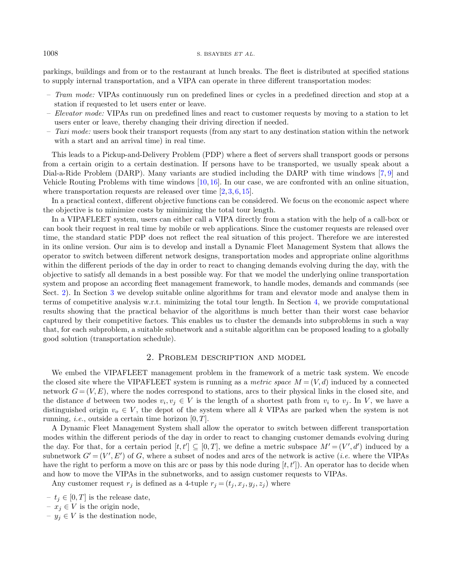#### $1008$  S. BSAYBES ET AL.

parkings, buildings and from or to the restaurant at lunch breaks. The fleet is distributed at specified stations to supply internal transportation, and a VIPA can operate in three different transportation modes:

- Tram mode: VIPAs continuously run on predefined lines or cycles in a predefined direction and stop at a station if requested to let users enter or leave.
- Elevator mode: VIPAs run on predefined lines and react to customer requests by moving to a station to let users enter or leave, thereby changing their driving direction if needed.
- Taxi mode: users book their transport requests (from any start to any destination station within the network with a start and an arrival time) in real time.

This leads to a Pickup-and-Delivery Problem (PDP) where a fleet of servers shall transport goods or persons from a certain origin to a certain destination. If persons have to be transported, we usually speak about a Dial-a-Ride Problem (DARP). Many variants are studied including the DARP with time windows [\[7,](#page-24-5) [9\]](#page-24-6) and Vehicle Routing Problems with time windows [\[10,](#page-24-7) [16\]](#page-24-8). In our case, we are confronted with an online situation, where transportation requests are released over time  $[2, 3, 6, 15]$  $[2, 3, 6, 15]$  $[2, 3, 6, 15]$  $[2, 3, 6, 15]$  $[2, 3, 6, 15]$  $[2, 3, 6, 15]$  $[2, 3, 6, 15]$ .

In a practical context, different objective functions can be considered. We focus on the economic aspect where the objective is to minimize costs by minimizing the total tour length.

In a VIPAFLEET system, users can either call a VIPA directly from a station with the help of a call-box or can book their request in real time by mobile or web applications. Since the customer requests are released over time, the standard static PDP does not reflect the real situation of this project. Therefore we are interested in its online version. Our aim is to develop and install a Dynamic Fleet Management System that allows the operator to switch between different network designs, transportation modes and appropriate online algorithms within the different periods of the day in order to react to changing demands evolving during the day, with the objective to satisfy all demands in a best possible way. For that we model the underlying online transportation system and propose an according fleet management framework, to handle modes, demands and commands (see Sect. [2\)](#page-1-0). In Section [3](#page-2-0) we develop suitable online algorithms for tram and elevator mode and analyse them in terms of competitive analysis w.r.t. minimizing the total tour length. In Section [4,](#page-4-0) we provide computational results showing that the practical behavior of the algorithms is much better than their worst case behavior captured by their competitive factors. This enables us to cluster the demands into subproblems in such a way that, for each subproblem, a suitable subnetwork and a suitable algorithm can be proposed leading to a globally good solution (transportation schedule).

# 2. Problem description and model

<span id="page-1-0"></span>We embed the VIPAFLEET management problem in the framework of a metric task system. We encode the closed site where the VIPAFLEET system is running as a metric space  $M = (V, d)$  induced by a connected network  $G = (V, E)$ , where the nodes correspond to stations, arcs to their physical links in the closed site, and the distance d between two nodes  $v_i, v_j \in V$  is the length of a shortest path from  $v_i$  to  $v_j$ . In V, we have a distinguished origin  $v_o \in V$ , the depot of the system where all k VIPAs are parked when the system is not running, *i.e.*, outside a certain time horizon  $[0, T]$ .

A Dynamic Fleet Management System shall allow the operator to switch between different transportation modes within the different periods of the day in order to react to changing customer demands evolving during the day. For that, for a certain period  $[t, t'] \subseteq [0, T]$ , we define a metric subspace  $M' = (V', d')$  induced by a subnetwork  $G' = (V', E')$  of G, where a subset of nodes and arcs of the network is active (*i.e.* where the VIPAs have the right to perform a move on this arc or pass by this node during  $[t, t']$ ). An operator has to decide when and how to move the VIPAs in the subnetworks, and to assign customer requests to VIPAs.

Any customer request  $r_j$  is defined as a 4-tuple  $r_j = (t_j, x_j, y_j, z_j)$  where

- $t_i \in [0, T]$  is the release date,
- $x_j \in V$  is the origin node,
- $y_i \in V$  is the destination node,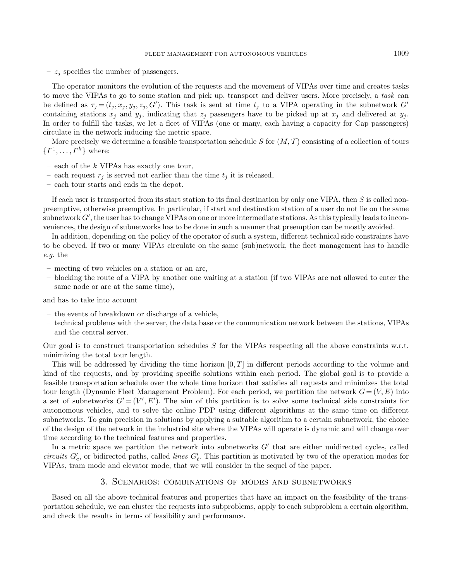–  $z_i$  specifies the number of passengers.

The operator monitors the evolution of the requests and the movement of VIPAs over time and creates tasks to move the VIPAs to go to some station and pick up, transport and deliver users. More precisely, a task can be defined as  $\tau_j = (t_j, x_j, y_j, z_j, G')$ . This task is sent at time  $t_j$  to a VIPA operating in the subnetwork  $G'$ containing stations  $x_j$  and  $y_j$ , indicating that  $z_j$  passengers have to be picked up at  $x_j$  and delivered at  $y_j$ . In order to fulfill the tasks, we let a fleet of VIPAs (one or many, each having a capacity for Cap passengers) circulate in the network inducing the metric space.

More precisely we determine a feasible transportation schedule S for  $(M, \mathcal{T})$  consisting of a collection of tours  $\{ \Gamma^1, \ldots, \Gamma^k \}$  where:

- $-$  each of the  $k$  VIPAs has exactly one tour,
- each request  $r_j$  is served not earlier than the time  $t_j$  it is released,
- each tour starts and ends in the depot.

If each user is transported from its start station to its final destination by only one VIPA, then  $S$  is called nonpreemptive, otherwise preemptive. In particular, if start and destination station of a user do not lie on the same  $\mathop{\rm subnetwork} G',$  the user has to change VIPAs on one or more intermediate stations. As this typically leads to inconveniences, the design of subnetworks has to be done in such a manner that preemption can be mostly avoided.

In addition, depending on the policy of the operator of such a system, different technical side constraints have to be obeyed. If two or many VIPAs circulate on the same (sub)network, the fleet management has to handle e.g. the

- meeting of two vehicles on a station or an arc,
- blocking the route of a VIPA by another one waiting at a station (if two VIPAs are not allowed to enter the same node or arc at the same time),

and has to take into account

- the events of breakdown or discharge of a vehicle,
- technical problems with the server, the data base or the communication network between the stations, VIPAs and the central server.

Our goal is to construct transportation schedules S for the VIPAs respecting all the above constraints w.r.t. minimizing the total tour length.

This will be addressed by dividing the time horizon  $[0, T]$  in different periods according to the volume and kind of the requests, and by providing specific solutions within each period. The global goal is to provide a feasible transportation schedule over the whole time horizon that satisfies all requests and minimizes the total tour length (Dynamic Fleet Management Problem). For each period, we partition the network  $G = (V, E)$  into a set of subnetworks  $G' = (V', E')$ . The aim of this partition is to solve some technical side constraints for autonomous vehicles, and to solve the online PDP using different algorithms at the same time on different subnetworks. To gain precision in solutions by applying a suitable algorithm to a certain subnetwork, the choice of the design of the network in the industrial site where the VIPAs will operate is dynamic and will change over time according to the technical features and properties.

In a metric space we partition the network into subnetworks  $G'$  that are either unidirected cycles, called circuits  $G_c'$ , or bidirected paths, called *lines*  $G_{\ell}'$ . This partition is motivated by two of the operation modes for VIPAs, tram mode and elevator mode, that we will consider in the sequel of the paper.

# 3. Scenarios: combinations of modes and subnetworks

<span id="page-2-0"></span>Based on all the above technical features and properties that have an impact on the feasibility of the transportation schedule, we can cluster the requests into subproblems, apply to each subproblem a certain algorithm, and check the results in terms of feasibility and performance.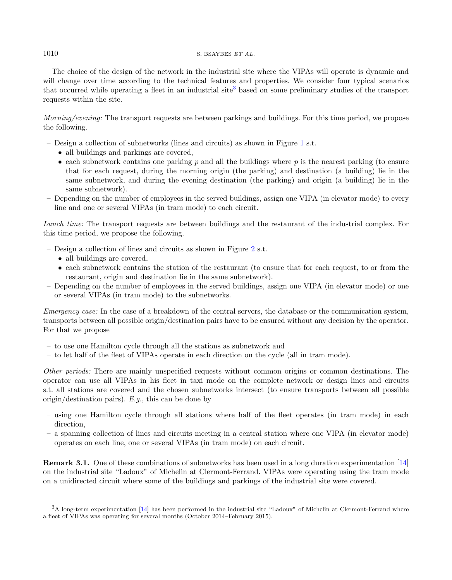#### $1010$  S. BSAYBES ET AL.

The choice of the design of the network in the industrial site where the VIPAs will operate is dynamic and will change over time according to the technical features and properties. We consider four typical scenarios that occurred while operating a fleet in an industrial site<sup>[3](#page-3-0)</sup> based on some preliminary studies of the transport requests within the site.

Morning/evening: The transport requests are between parkings and buildings. For this time period, we propose the following.

- Design a collection of subnetworks (lines and circuits) as shown in Figure [1](#page-4-1) s.t.
	- all buildings and parkings are covered.
	- each subnetwork contains one parking  $p$  and all the buildings where  $p$  is the nearest parking (to ensure that for each request, during the morning origin (the parking) and destination (a building) lie in the same subnetwork, and during the evening destination (the parking) and origin (a building) lie in the same subnetwork).
- Depending on the number of employees in the served buildings, assign one VIPA (in elevator mode) to every line and one or several VIPAs (in tram mode) to each circuit.

Lunch time: The transport requests are between buildings and the restaurant of the industrial complex. For this time period, we propose the following.

- Design a collection of lines and circuits as shown in Figure [2](#page-4-2) s.t.
	- all buildings are covered,
	- each subnetwork contains the station of the restaurant (to ensure that for each request, to or from the restaurant, origin and destination lie in the same subnetwork).
- Depending on the number of employees in the served buildings, assign one VIPA (in elevator mode) or one or several VIPAs (in tram mode) to the subnetworks.

Emergency case: In the case of a breakdown of the central servers, the database or the communication system, transports between all possible origin/destination pairs have to be ensured without any decision by the operator. For that we propose

- to use one Hamilton cycle through all the stations as subnetwork and
- to let half of the fleet of VIPAs operate in each direction on the cycle (all in tram mode).

Other periods: There are mainly unspecified requests without common origins or common destinations. The operator can use all VIPAs in his fleet in taxi mode on the complete network or design lines and circuits s.t. all stations are covered and the chosen subnetworks intersect (to ensure transports between all possible origin/destination pairs).  $E.q.$ , this can be done by

- <span id="page-3-0"></span>– using one Hamilton cycle through all stations where half of the fleet operates (in tram mode) in each direction,
- a spanning collection of lines and circuits meeting in a central station where one VIPA (in elevator mode) operates on each line, one or several VIPAs (in tram mode) on each circuit.

Remark 3.1. One of these combinations of subnetworks has been used in a long duration experimentation [\[14\]](#page-24-3) on the industrial site "Ladoux" of Michelin at Clermont-Ferrand. VIPAs were operating using the tram mode on a unidirected circuit where some of the buildings and parkings of the industrial site were covered.

<sup>3</sup>A long-term experimentation [\[14\]](#page-24-3) has been performed in the industrial site "Ladoux" of Michelin at Clermont-Ferrand where a fleet of VIPAs was operating for several months (October 2014–February 2015).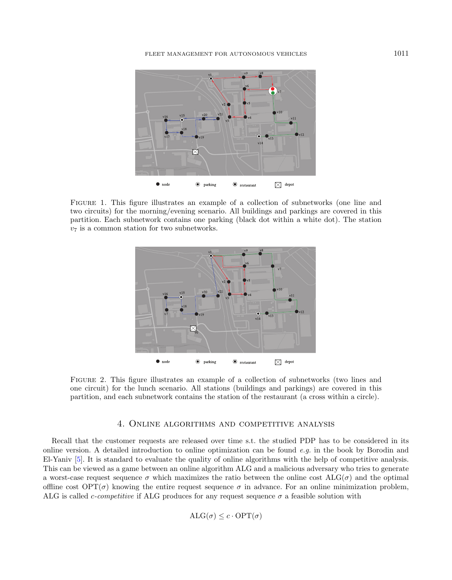<span id="page-4-1"></span>

Figure 1. This figure illustrates an example of a collection of subnetworks (one line and two circuits) for the morning/evening scenario. All buildings and parkings are covered in this partition. Each subnetwork contains one parking (black dot within a white dot). The station  $v_7$  is a common station for two subnetworks.

<span id="page-4-2"></span>

Figure 2. This figure illustrates an example of a collection of subnetworks (two lines and one circuit) for the lunch scenario. All stations (buildings and parkings) are covered in this partition, and each subnetwork contains the station of the restaurant (a cross within a circle).

### 4. Online algorithms and competitive analysis

<span id="page-4-0"></span>Recall that the customer requests are released over time s.t. the studied PDP has to be considered in its online version. A detailed introduction to online optimization can be found  $e.g.$  in the book by Borodin and El-Yaniv [\[5\]](#page-24-13). It is standard to evaluate the quality of online algorithms with the help of competitive analysis. This can be viewed as a game between an online algorithm ALG and a malicious adversary who tries to generate a worst-case request sequence  $\sigma$  which maximizes the ratio between the online cost ALG( $\sigma$ ) and the optimal offline cost  $\text{OPT}(\sigma)$  knowing the entire request sequence  $\sigma$  in advance. For an online minimization problem, ALG is called *c-competitive* if ALG produces for any request sequence  $\sigma$  a feasible solution with

$$
ALG(\sigma) \leq c \cdot OPT(\sigma)
$$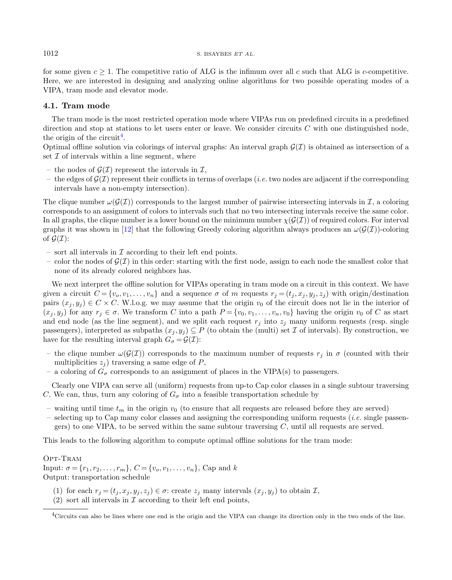for some given  $c \geq 1$ . The competitive ratio of ALG is the infimum over all c such that ALG is c-competitive. Here, we are interested in designing and analyzing online algorithms for two possible operating modes of a VIPA, tram mode and elevator mode.

### 4.1. Tram mode

The tram mode is the most restricted operation mode where VIPAs run on predefined circuits in a predefined direction and stop at stations to let users enter or leave. We consider circuits  $C$  with one distinguished node. the origin of the circuit<sup>[4](#page-5-0)</sup>.

Optimal offline solution via colorings of interval graphs: An interval graph  $\mathcal{G}(I)$  is obtained as intersection of a set  $\mathcal I$  of intervals within a line segment, where

- the nodes of  $\mathcal{G}(\mathcal{I})$  represent the intervals in  $\mathcal{I}$ ,
- the edges of  $\mathcal{G}(\mathcal{I})$  represent their conflicts in terms of overlaps (*i.e.* two nodes are adjacent if the corresponding intervals have a non-empty intersection).

The clique number  $\omega(\mathcal{G}(\mathcal{I}))$  corresponds to the largest number of pairwise intersecting intervals in  $\mathcal{I}$ , a coloring corresponds to an assignment of colors to intervals such that no two intersecting intervals receive the same color. In all graphs, the clique number is a lower bound on the minimum number  $\chi(\mathcal{G}(\mathcal{I}))$  of required colors. For interval graphs it was shown in [\[12\]](#page-24-14) that the following Greedy coloring algorithm always produces an  $\omega(\mathcal{G}(I))$ -coloring of  $\mathcal{G}(\mathcal{I})$ :

- sort all intervals in  $\mathcal I$  according to their left end points.
- color the nodes of  $\mathcal{G}(\mathcal{I})$  in this order: starting with the first node, assign to each node the smallest color that none of its already colored neighbors has.

We next interpret the offline solution for VIPAs operating in tram mode on a circuit in this context. We have given a circuit  $C = \{v_o, v_1, \ldots, v_n\}$  and a sequence  $\sigma$  of m requests  $r_j = (t_j, x_j, y_j, z_j)$  with origin/destination pairs  $(x_j, y_j) \in C \times C$ . W.l.o.g. we may assume that the origin  $v_0$  of the circuit does not lie in the interior of  $(x_j, y_j)$  for any  $r_j \in \sigma$ . We transform C into a path  $P = \{v_0, v_1, \ldots, v_n, v_0\}$  having the origin  $v_0$  of C as start and end node (as the line segment), and we split each request  $r_j$  into  $z_j$  many uniform requests (resp. single passengers), interpreted as subpaths  $(x_j, y_j) \subseteq P$  (to obtain the (multi) set  $\mathcal I$  of intervals). By construction, we have for the resulting interval graph  $G_{\sigma} = \mathcal{G}(\mathcal{I})$ :

- the clique number  $\omega(G(\mathcal{I}))$  corresponds to the maximum number of requests  $r_i$  in  $\sigma$  (counted with their multiplicities  $z_i$  traversing a same edge of P,
- a coloring of  $G_{\sigma}$  corresponds to an assignment of places in the VIPA(s) to passengers.

Clearly one VIPA can serve all (uniform) requests from up-to Cap color classes in a single subtour traversing C. We can, thus, turn any coloring of  $G_{\sigma}$  into a feasible transportation schedule by

- <span id="page-5-0"></span>– waiting until time  $t_m$  in the origin  $v_0$  (to ensure that all requests are released before they are served)
- selecting up to Cap many color classes and assigning the corresponding uniform requests (i.e. single passengers) to one VIPA, to be served within the same subtour traversing  $C$ , until all requests are served.

This leads to the following algorithm to compute optimal offline solutions for the tram mode:

Opt-Tram Input:  $\sigma = \{r_1, r_2, \dots, r_m\}$ ,  $C = \{v_o, v_1, \dots, v_n\}$ , Cap and k Output: transportation schedule

- (1) for each  $r_j = (t_j, x_j, y_j, z_j) \in \sigma$ : create  $z_j$  many intervals  $(x_j, y_j)$  to obtain  $\mathcal{I}$ ,
- (2) sort all intervals in  $\mathcal I$  according to their left end points,

<sup>&</sup>lt;sup>4</sup>Circuits can also be lines where one end is the origin and the VIPA can change its direction only in the two ends of the line.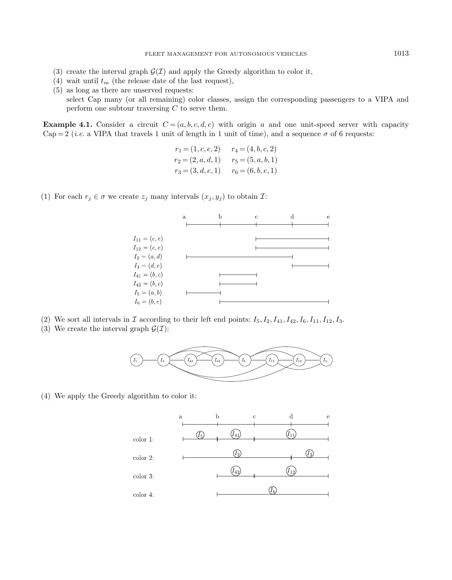- (3) create the interval graph  $\mathcal{G}(\mathcal{I})$  and apply the Greedy algorithm to color it,
- (4) wait until  $t_m$  (the release date of the last request),
- (5) as long as there are unserved requests: select Cap many (or all remaining) color classes, assign the corresponding passengers to a VIPA and perform one subtour traversing  $C$  to serve them.

**Example 4.1.** Consider a circuit  $C = (a, b, c, d, e)$  with origin a and one unit-speed server with capacity Cap = 2 (*i.e.* a VIPA that travels 1 unit of length in 1 unit of time), and a sequence  $\sigma$  of 6 requests:

$$
r_1 = (1, c, e, 2) \t r_4 = (4, b, c, 2)
$$
  
\n
$$
r_2 = (2, a, d, 1) \t r_5 = (5, a, b, 1)
$$
  
\n
$$
r_3 = (3, d, e, 1) \t r_6 = (6, b, e, 1)
$$

(1) For each  $r_i \in \sigma$  we create  $z_i$  many intervals  $(x_i, y_i)$  to obtain  $\mathcal{I}:$ 



- (2) We sort all intervals in  $\mathcal I$  according to their left end points:  $I_5, I_2, I_{41}, I_{42}, I_6, I_{11}, I_{12}, I_3$ .
- (3) We create the interval graph  $\mathcal{G}(\mathcal{I})$ :



(4) We apply the Greedy algorithm to color it:

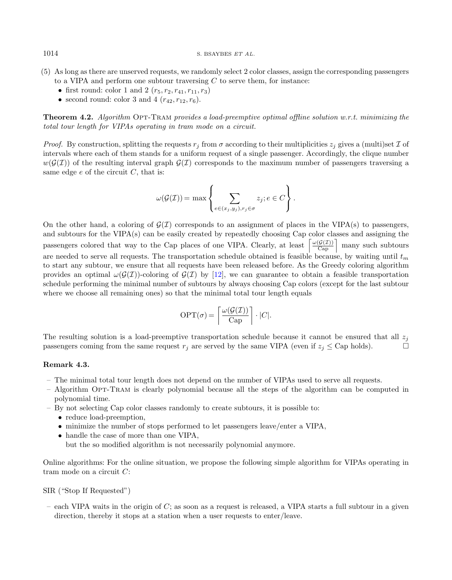- (5) As long as there are unserved requests, we randomly select 2 color classes, assign the corresponding passengers to a VIPA and perform one subtour traversing  $C$  to serve them, for instance:
	- first round: color 1 and 2  $(r_5, r_2, r_{41}, r_{11}, r_3)$
	- second round: color 3 and 4  $(r_{42}, r_{12}, r_6)$ .

**Theorem 4.2.** Algorithm OPT-TRAM provides a load-preemptive optimal offline solution w.r.t. minimizing the total tour length for VIPAs operating in tram mode on a circuit.

*Proof.* By construction, splitting the requests  $r_j$  from  $\sigma$  according to their multiplicities  $z_j$  gives a (multi)set  $\mathcal I$  of intervals where each of them stands for a uniform request of a single passenger. Accordingly, the clique number  $w(G(\mathcal{I}))$  of the resulting interval graph  $\mathcal{G}(\mathcal{I})$  corresponds to the maximum number of passengers traversing a same edge  $e$  of the circuit  $C$ , that is:

$$
\omega(\mathcal{G}(\mathcal{I})) = \max \left\{ \sum_{e \in (x_j, y_j), r_j \in \sigma} z_j; e \in C \right\}.
$$

On the other hand, a coloring of  $\mathcal{G}(\mathcal{I})$  corresponds to an assignment of places in the VIPA(s) to passengers, and subtours for the VIPA(s) can be easily created by repeatedly choosing Cap color classes and assigning the passengers colored that way to the Cap places of one VIPA. Clearly, at least  $\left\lceil \frac{\omega(\mathcal{G}(I))}{\text{Cap}} \right\rceil$  many such subtours are needed to serve all requests. The transportation schedule obtained is feasible because, by waiting until  $t_m$ to start any subtour, we ensure that all requests have been released before. As the Greedy coloring algorithm provides an optimal  $\omega(G(\mathcal{I}))$ -coloring of  $\mathcal{G}(\mathcal{I})$  by [\[12\]](#page-24-14), we can guarantee to obtain a feasible transportation schedule performing the minimal number of subtours by always choosing Cap colors (except for the last subtour where we choose all remaining ones) so that the minimal total tour length equals

$$
\text{OPT}(\sigma) = \left\lceil \frac{\omega(\mathcal{G}(\mathcal{I}))}{\text{Cap}} \right\rceil \cdot |C|.
$$

The resulting solution is a load-preemptive transportation schedule because it cannot be ensured that all  $z_i$ passengers coming from the same request  $r_j$  are served by the same VIPA (even if  $z_j \leq$  Cap holds).

## Remark 4.3.

- The minimal total tour length does not depend on the number of VIPAs used to serve all requests.
- Algorithm Opt-Tram is clearly polynomial because all the steps of the algorithm can be computed in polynomial time.
- By not selecting Cap color classes randomly to create subtours, it is possible to:
	- reduce load-preemption,
	- minimize the number of stops performed to let passengers leave/enter a VIPA,
	- handle the case of more than one VIPA,
		- but the so modified algorithm is not necessarily polynomial anymore.

Online algorithms: For the online situation, we propose the following simple algorithm for VIPAs operating in tram mode on a circuit C:

SIR ("Stop If Requested")

– each VIPA waits in the origin of  $C$ ; as soon as a request is released, a VIPA starts a full subtour in a given direction, thereby it stops at a station when a user requests to enter/leave.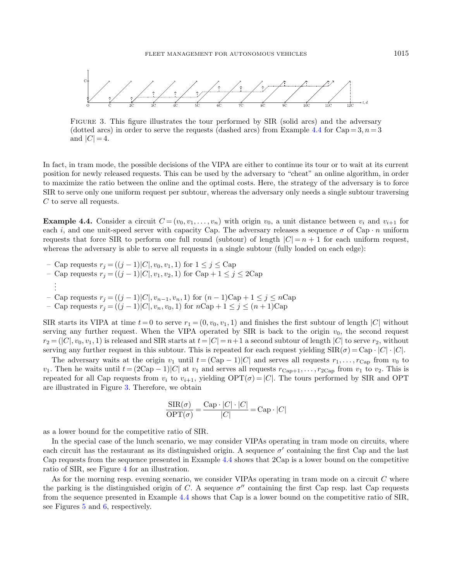<span id="page-8-1"></span>

Figure 3. This figure illustrates the tour performed by SIR (solid arcs) and the adversary (dotted arcs) in order to serve the requests (dashed arcs) from Example [4.4](#page-8-0) for  $\text{Cap}=3$ ,  $n=3$ and  $|C| = 4$ .

In fact, in tram mode, the possible decisions of the VIPA are either to continue its tour or to wait at its current position for newly released requests. This can be used by the adversary to "cheat" an online algorithm, in order to maximize the ratio between the online and the optimal costs. Here, the strategy of the adversary is to force SIR to serve only one uniform request per subtour, whereas the adversary only needs a single subtour traversing C to serve all requests.

<span id="page-8-0"></span>**Example 4.4.** Consider a circuit  $C = (v_0, v_1, \ldots, v_n)$  with origin  $v_0$ , a unit distance between  $v_i$  and  $v_{i+1}$  for each i, and one unit-speed server with capacity Cap. The adversary releases a sequence  $\sigma$  of Cap  $\cdot$  n uniform requests that force SIR to perform one full round (subtour) of length  $|C| = n + 1$  for each uniform request. whereas the adversary is able to serve all requests in a single subtour (fully loaded on each edge):

- Cap requests  $r_j = ((j-1)|C|, v_0, v_1, 1)$  for  $1 \le j \le Cap$ – Cap requests  $r_j = ((j-1)|C|, v_1, v_2, 1)$  for Cap + 1 ≤ j ≤ 2Cap . . .
- Cap requests  $r_j = ((j-1)|C|, v_{n-1}, v_n, 1)$  for  $(n-1)C_0 + 1 ≤ j ≤ nC_0$
- Cap requests  $r_j = ((j-1)|C|, v_n, v_0, 1)$  for  $n$ Cap + 1 ≤ j ≤ (n + 1)Cap

SIR starts its VIPA at time  $t = 0$  to serve  $r_1 = (0, v_0, v_1, 1)$  and finishes the first subtour of length  $|C|$  without serving any further request. When the VIPA operated by SIR is back to the origin  $v_0$ , the second request  $r_2 = (|C|, v_0, v_1, 1)$  is released and SIR starts at  $t = |C| = n+1$  a second subtour of length  $|C|$  to serve  $r_2$ , without serving any further request in this subtour. This is repeated for each request yielding  $\text{SIR}(\sigma) = \text{Cap} \cdot |C| \cdot |C|$ .

The adversary waits at the origin  $v_1$  until  $t = (\text{Cap } -1)|C|$  and serves all requests  $r_1, \ldots, r_{\text{Cap}}$  from  $v_0$  to  $v_1$ . Then he waits until  $t = (2Cap - 1)|C|$  at  $v_1$  and serves all requests  $r_{Cap+1}, \ldots, r_{2Cap}$  from  $v_1$  to  $v_2$ . This is repeated for all Cap requests from  $v_i$  to  $v_{i+1}$ , yielding  $\text{OPT}(\sigma) = |C|$ . The tours performed by SIR and OPT are illustrated in Figure [3.](#page-8-1) Therefore, we obtain

$$
\frac{\text{SIR}(\sigma)}{\text{OPT}(\sigma)} = \frac{\text{Cap} \cdot |C| \cdot |C|}{|C|} = \text{Cap} \cdot |C|
$$

as a lower bound for the competitive ratio of SIR.

In the special case of the lunch scenario, we may consider VIPAs operating in tram mode on circuits, where each circuit has the restaurant as its distinguished origin. A sequence  $\sigma'$  containing the first Cap and the last Cap requests from the sequence presented in Example [4.4](#page-8-0) shows that 2Cap is a lower bound on the competitive ratio of SIR, see Figure [4](#page-9-0) for an illustration.

As for the morning resp. evening scenario, we consider VIPAs operating in tram mode on a circuit C where the parking is the distinguished origin of C. A sequence  $\sigma''$  containing the first Cap resp. last Cap requests from the sequence presented in Example [4.4](#page-8-0) shows that Cap is a lower bound on the competitive ratio of SIR, see Figures [5](#page-9-1) and [6,](#page-9-2) respectively.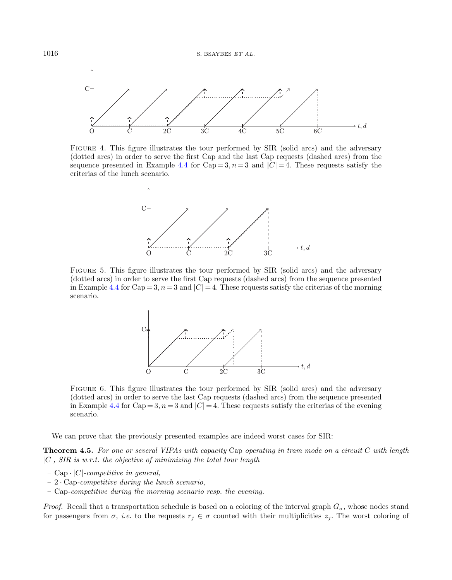<span id="page-9-0"></span>

FIGURE 4. This figure illustrates the tour performed by SIR (solid arcs) and the adversary (dotted arcs) in order to serve the first Cap and the last Cap requests (dashed arcs) from the sequence presented in Example [4.4](#page-8-0) for Cap = 3,  $n = 3$  and  $|C| = 4$ . These requests satisfy the criterias of the lunch scenario.

<span id="page-9-1"></span>

FIGURE 5. This figure illustrates the tour performed by SIR (solid arcs) and the adversary (dotted arcs) in order to serve the first Cap requests (dashed arcs) from the sequence presented in Example [4.4](#page-8-0) for Cap = 3,  $n = 3$  and  $|C| = 4$ . These requests satisfy the criterias of the morning scenario.

<span id="page-9-2"></span>

FIGURE 6. This figure illustrates the tour performed by SIR (solid arcs) and the adversary (dotted arcs) in order to serve the last Cap requests (dashed arcs) from the sequence presented in Example [4.4](#page-8-0) for Cap = 3,  $n = 3$  and  $|C| = 4$ . These requests satisfy the criterias of the evening scenario.

We can prove that the previously presented examples are indeed worst cases for SIR:

**Theorem 4.5.** For one or several VIPAs with capacity Cap operating in tram mode on a circuit C with length  $|C|$ , SIR is w.r.t. the objective of minimizing the total tour length

- Cap  $\cdot$  |C|-competitive in general,
- $-2 \cdot \text{Cap-competitive during the lunch scenario},$
- Cap-competitive during the morning scenario resp. the evening.

*Proof.* Recall that a transportation schedule is based on a coloring of the interval graph  $G_{\sigma}$ , whose nodes stand for passengers from  $\sigma$ , *i.e.* to the requests  $r_j \in \sigma$  counted with their multiplicities  $z_j$ . The worst coloring of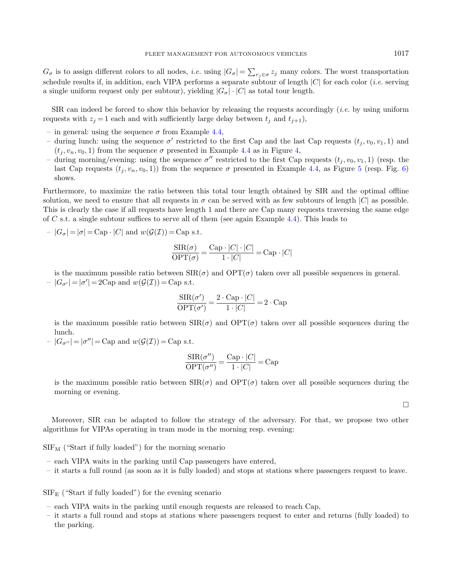$G_{\sigma}$  is to assign different colors to all nodes, *i.e.* using  $|G_{\sigma}| = \sum_{r_j \in \sigma} z_j$  many colors. The worst transportation schedule results if, in addition, each VIPA performs a separate subtour of length  $|C|$  for each color *(i.e.* serving a single uniform request only per subtour), yielding  $|G_{\sigma}| \cdot |C|$  as total tour length.

SIR can indeed be forced to show this behavior by releasing the requests accordingly *(i.e.* by using uniform requests with  $z_i = 1$  each and with sufficiently large delay between  $t_i$  and  $t_{i+1}$ ),

- in general: using the sequence  $\sigma$  from Example [4.4,](#page-8-0)
- during lunch: using the sequence  $\sigma'$  restricted to the first Cap and the last Cap requests  $(t_j, v_0, v_1, 1)$  and  $(t_i, v_n, v_0, 1)$  from the sequence  $\sigma$  presented in Example [4.4](#page-8-0) as in Figure [4,](#page-9-0)
- during morning/evening: using the sequence  $\sigma''$  restricted to the first Cap requests  $(t_j, v_0, v_1, 1)$  (resp. the last Cap requests  $(t_i, v_n, v_0, 1)$  from the sequence  $\sigma$  presented in Example [4.4,](#page-8-0) as Figure [5](#page-9-1) (resp. Fig. [6\)](#page-9-2) shows.

Furthermore, to maximize the ratio between this total tour length obtained by SIR and the optimal offline solution, we need to ensure that all requests in  $\sigma$  can be served with as few subtours of length  $|C|$  as possible. This is clearly the case if all requests have length 1 and there are Cap many requests traversing the same edge of C s.t. a single subtour suffices to serve all of them (see again Example [4.4\)](#page-8-0). This leads to

$$
- |G_{\sigma}| = |\sigma| = \text{Cap} \cdot |C| \text{ and } w(\mathcal{G}(\mathcal{I})) = \text{Cap s.t.}
$$

$$
\frac{\text{SIR}(\sigma)}{\text{OPT}(\sigma)} = \frac{\text{Cap} \cdot |C| \cdot |C|}{1 \cdot |C|} = \text{Cap} \cdot |C|
$$

is the maximum possible ratio between  $\text{SIR}(\sigma)$  and  $\text{OPT}(\sigma)$  taken over all possible sequences in general.  $-|G_{\sigma'}|=|\sigma'|=2\text{Cap} \text{ and } w(\mathcal{G}(\mathcal{I}))=\text{Cap s.t.}$ 

$$
\frac{\text{SIR}(\sigma')}{\text{OPT}(\sigma')} = \frac{2 \cdot \text{Cap} \cdot |C|}{1 \cdot |C|} = 2 \cdot \text{Cap}
$$

is the maximum possible ratio between  $\text{SIR}(\sigma)$  and  $\text{OPT}(\sigma)$  taken over all possible sequences during the lunch.

 $-|G_{\sigma''}| = |\sigma''|$  = Cap and  $w(\mathcal{G}(\mathcal{I}))$  = Cap s.t.

$$
\frac{\text{SIR}(\sigma'')}{\text{OPT}(\sigma'')} = \frac{\text{Cap} \cdot |C|}{1 \cdot |C|} = \text{Cap}
$$

is the maximum possible ratio between  $\text{SIR}(\sigma)$  and  $\text{OPT}(\sigma)$  taken over all possible sequences during the morning or evening.

 $\Box$ 

Moreover, SIR can be adapted to follow the strategy of the adversary. For that, we propose two other algorithms for VIPAs operating in tram mode in the morning resp. evening:

 $SIF_M$  ("Start if fully loaded") for the morning scenario

- each VIPA waits in the parking until Cap passengers have entered,
- it starts a full round (as soon as it is fully loaded) and stops at stations where passengers request to leave.

 $SIF_{E}$  ("Start if fully loaded") for the evening scenario

- each VIPA waits in the parking until enough requests are released to reach Cap,
- it starts a full round and stops at stations where passengers request to enter and returns (fully loaded) to the parking.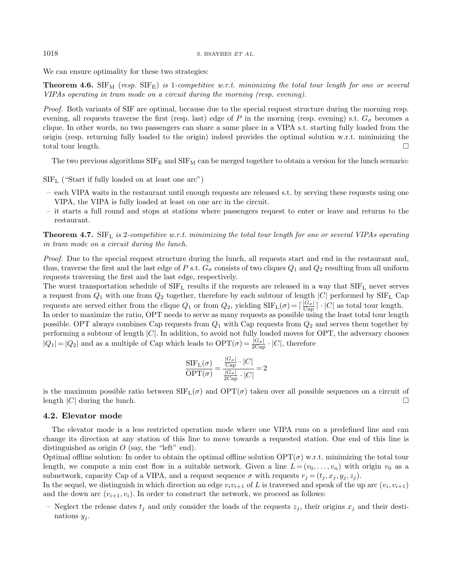We can ensure optimality for these two strategies:

**Theorem 4.6.** SIF<sub>M</sub> (resp. SIF<sub>E</sub>) is 1-competitive w.r.t. minimizing the total tour length for one or several VIPAs operating in tram mode on a circuit during the morning (resp. evening).

Proof. Both variants of SIF are optimal, because due to the special request structure during the morning resp. evening, all requests traverse the first (resp. last) edge of P in the morning (resp. evening) s.t.  $G_{\sigma}$  becomes a clique. In other words, no two passengers can share a same place in a VIPA s.t. starting fully loaded from the origin (resp. returning fully loaded to the origin) indeed provides the optimal solution w.r.t. minimizing the total tour length.

The two previous algorithms  $SIF_E$  and  $SIF_M$  can be merged together to obtain a version for the lunch scenario:

 $SIF<sub>L</sub>$  ("Start if fully loaded on at least one arc")

- each VIPA waits in the restaurant until enough requests are released s.t. by serving these requests using one VIPA, the VIPA is fully loaded at least on one arc in the circuit.
- it starts a full round and stops at stations where passengers request to enter or leave and returns to the restaurant.

**Theorem 4.7.** SIF<sub>L</sub> is 2-competitive w.r.t. minimizing the total tour length for one or several VIPAs operating in tram mode on a circuit during the lunch.

Proof. Due to the special request structure during the lunch, all requests start and end in the restaurant and, thus, traverse the first and the last edge of P s.t.  $G_{\sigma}$  consists of two cliques  $Q_1$  and  $Q_2$  resulting from all uniform requests traversing the first and the last edge, respectively.

The worst transportation schedule of  $SIF_L$  results if the requests are released in a way that  $SIF_L$  never serves a request from  $Q_1$  with one from  $Q_2$  together, therefore by each subtour of length  $|C|$  performed by  $SIF_L$  Cap requests are served either from the clique  $Q_1$  or from  $Q_2$ , yielding  $SIF_L(\sigma) = \lceil \frac{|G_{\sigma}|}{Cap} \rceil \cdot |C|$  as total tour length. In order to maximize the ratio, OPT needs to serve as many requests as possible using the least total tour length possible. OPT always combines Cap requests from  $Q_1$  with Cap requests from  $Q_2$  and serves them together by performing a subtour of length  $|C|$ . In addition, to avoid not fully loaded moves for OPT, the adversary chooses  $|Q_1| = |Q_2|$  and as a multiple of Cap which leads to  $\text{OPT}(\sigma) = \frac{|G_{\sigma}|}{2 \text{Cap}} \cdot |C|$ , therefore

$$
\frac{\text{SIF}_{\text{L}}(\sigma)}{\text{OPT}(\sigma)} = \frac{\frac{|G_{\sigma}|}{\text{Cap}} \cdot |C|}{\frac{|G_{\sigma}|}{2\text{Cap}} \cdot |C|} = 2
$$

is the maximum possible ratio between  $SIF<sub>L</sub>(\sigma)$  and  $OPT(\sigma)$  taken over all possible sequences on a circuit of length  $|C|$  during the lunch.

#### 4.2. Elevator mode

The elevator mode is a less restricted operation mode where one VIPA runs on a predefined line and can change its direction at any station of this line to move towards a requested station. One end of this line is distinguished as origin  $O$  (say, the "left" end).

Optimal offline solution: In order to obtain the optimal offline solution  $\text{OPT}(\sigma)$  w.r.t. minimizing the total tour length, we compute a min cost flow in a suitable network. Given a line  $L = (v_0, \ldots, v_n)$  with origin  $v_0$  as a subnetwork, capacity Cap of a VIPA, and a request sequence  $\sigma$  with requests  $r_j = (t_j, x_j, y_j, z_j)$ .

In the sequel, we distinguish in which direction an edge  $v_i v_{i+1}$  of L is traversed and speak of the up arc  $(v_i, v_{i+1})$ and the down arc  $(v_{i+1}, v_i)$ . In order to construct the network, we proceed as follows:

– Neglect the release dates  $t_j$  and only consider the loads of the requests  $z_j$ , their origins  $x_j$  and their destinations  $y_i$ .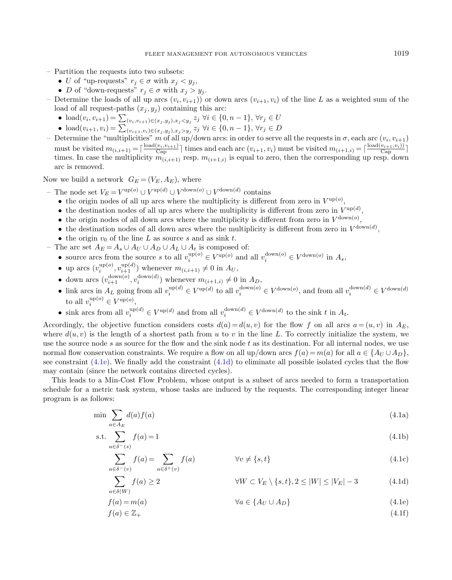- Partition the requests into two subsets:
	- U of "up-requests"  $r_j \in \sigma$  with  $x_j < y_j$ ,
	- D of "down-requests"  $r_i \in \sigma$  with  $x_i > y_i$ .
- Determine the loads of all up arcs  $(v_i, v_{i+1})$  or down arcs  $(v_{i+1}, v_i)$  of the line L as a weighted sum of the load of all request-paths  $(x_i, y_i)$  containing this arc:
	- load $(v_i, v_{i+1}) = \sum_{(v_i, v_{i+1}) \in (x_j, y_j), x_j \le y_j} z_j \; \forall i \in \{0, n-1\}, \, \forall r_j \in U$
	- load $(v_{i+1}, v_i) = \sum_{(v_{i+1}, v_i) \in (x_j, y_j), x_j > y_j} z_j \; \forall i \in \{0, n-1\}, \, \forall r_j \in D$
- Determine the "multiplicities" m of all up/down arcs: in order to serve all the requests in  $\sigma$ , each arc  $(v_i, v_{i+1})$ must be visited  $m_{(i,i+1)} = \lceil \frac{\text{load}(v_i,v_{i+1})}{\text{Cap}} \rceil$  times and each arc  $(v_{i+1},v_i)$  must be visited  $m_{(i+1,i)} = \lceil \frac{\text{load}(v_{i+1},v_i)}{\text{Cap}} \rceil$ times. In case the multiplicity  $m_{(i,i+1)}$  resp.  $m_{(i+1,i)}$  is equal to zero, then the corresponding up resp. down arc is removed.

Now we build a network  $G_E = (V_E, A_E)$ , where

 $\sum$  $a\in\delta(W)$ 

- The node set  $V_E = V^{\text{up}(o)} \cup V^{\text{up}(d)} \cup V^{\text{down}(o)} \cup V^{\text{down}(d)}$  contains

- the origin nodes of all up arcs where the multiplicity is different from zero in  $V^{\text{up}(o)}$ ,
- the destination nodes of all up arcs where the multiplicity is different from zero in  $V^{\text{up}(d)}$ ,
- the origin nodes of all down arcs where the multiplicity is different from zero in  $V^{\text{down}(o)}$ ,
- the destination nodes of all down arcs where the multiplicity is different from zero in  $V^{\text{down}(d)}$ ,
- <span id="page-12-2"></span>• the origin  $v_0$  of the line L as source s and as sink t.
- The arc set  $A_E = A_s \cup A_U \cup A_D \cup A_L \cup A_t$  is composed of:
	- source arcs from the source s to all  $v_i^{\text{up}(o)} \in V^{\text{up}(o)}$  and all  $v_i^{\text{down}(o)} \in V^{\text{down}(o)}$  in  $A_s$ ,
	- up arcs  $(v_i^{\text{up}(o)}, v_{i+1}^{\text{up}(d)})$  whenever  $m_{(i,i+1)} \neq 0$  in  $A_U$ ,
	- down arcs  $(v_{i+1}^{down(o)}, v_i^{down(d)})$  whenever  $m_{(i+1,i)} \neq 0$  in  $A_D$ ,
	- link arcs in  $A_L$  going from all  $v_i^{\text{up}(d)} \in V^{\text{up}(d)}$  to all  $v_i^{\text{down}(o)} \in V^{\text{down}(o)}$ , and from all  $v_i^{\text{down}(d)} \in V^{\text{down}(d)}$ to all  $v_i^{\text{up}(o)} \in V^{\text{up}(o)}$ ,
	- sink arcs from all  $v_i^{\text{up}(d)} \in V^{\text{up}(d)}$  and from all  $v_i^{\text{down}(d)} \in V^{\text{down}(d)}$  to the sink t in  $A_t$ .

Accordingly, the objective function considers costs  $d(a) = d(u, v)$  for the flow f on all arcs  $a = (u, v)$  in  $A<sub>E</sub>$ , where  $d(u, v)$  is the length of a shortest path from u to v in the line L. To correctly initialize the system, we use the source node s as source for the flow and the sink node t as its destination. For all internal nodes, we use normal flow conservation constraints. We require a flow on all up/down arcs  $f(a) = m(a)$  for all  $a \in \{A_U \cup A_D\}$ , see constraint  $(4.1e)$ . We finally add the constraint  $(4.1d)$  to eliminate all possible isolated cycles that the flow may contain (since the network contains directed cycles).

This leads to a Min-Cost Flow Problem, whose output is a subset of arcs needed to form a transportation schedule for a metric task system, whose tasks are induced by the requests. The corresponding integer linear program is as follows:

$$
\min \sum_{a \in A_E} d(a) f(a) \tag{4.1a}
$$

$$
\text{s.t.} \sum_{a \in \delta^-(s)} f(a) = 1 \tag{4.1b}
$$

$$
\sum_{a \in \delta^-(v)} f(a) = \sum_{a \in \delta^+(v)} f(a) \qquad \forall v \neq \{s, t\}
$$
\n(4.1c)

<span id="page-12-1"></span><span id="page-12-0"></span>
$$
f(a) \ge 2 \qquad \qquad \forall W \subset V_E \setminus \{s, t\}, 2 \le |W| \le |V_E| - 3 \qquad (4.1d)
$$

$$
f(a) = m(a) \qquad \qquad \forall a \in \{A_U \cup A_D\} \tag{4.1e}
$$

$$
f(a) \in \mathbb{Z}_+ \tag{4.1f}
$$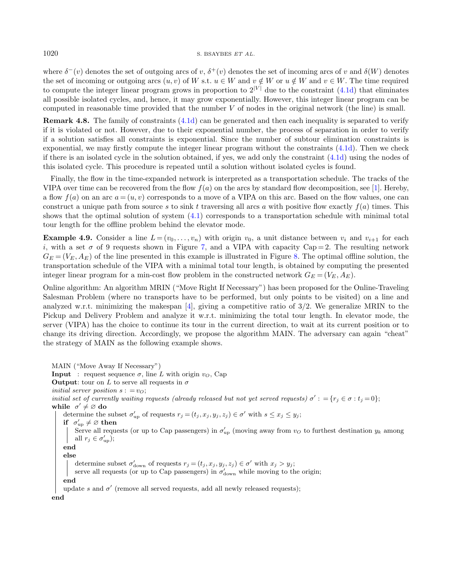#### 1020 S. BSAYBES ET AL.

where  $\delta^-(v)$  denotes the set of outgoing arcs of v,  $\delta^+(v)$  denotes the set of incoming arcs of v and  $\delta(W)$  denotes the set of incoming or outgoing arcs  $(u, v)$  of W s.t.  $u \in W$  and  $v \notin W$  or  $u \notin W$  and  $v \in W$ . The time required to compute the integer linear program grows in proportion to  $2^{|V|}$  due to the constraint  $(4.1d)$  that eliminates all possible isolated cycles, and, hence, it may grow exponentially. However, this integer linear program can be computed in reasonable time provided that the number V of nodes in the original network (the line) is small.

Remark 4.8. The family of constraints [\(4.1d\)](#page-12-1) can be generated and then each inequality is separated to verify if it is violated or not. However, due to their exponential number, the process of separation in order to verify if a solution satisfies all constraints is exponential. Since the number of subtour elimination constraints is exponential, we may firstly compute the integer linear program without the constraints [\(4.1d\)](#page-12-1). Then we check if there is an isolated cycle in the solution obtained, if yes, we add only the constraint [\(4.1d\)](#page-12-1) using the nodes of this isolated cycle. This procedure is repeated until a solution without isolated cycles is found.

Finally, the flow in the time-expanded network is interpreted as a transportation schedule. The tracks of the VIPA over time can be recovered from the flow  $f(a)$  on the arcs by standard flow decomposition, see [\[1\]](#page-24-15). Hereby, a flow  $f(a)$  on an arc  $a = (u, v)$  corresponds to a move of a VIPA on this arc. Based on the flow values, one can construct a unique path from source s to sink t traversing all arcs a with positive flow exactly  $f(a)$  times. This shows that the optimal solution of system [\(4.1\)](#page-12-2) corresponds to a transportation schedule with minimal total tour length for the offline problem behind the elevator mode.

<span id="page-13-0"></span>**Example 4.9.** Consider a line  $L = (v_0, \ldots, v_n)$  with origin  $v_0$ , a unit distance between  $v_i$  and  $v_{i+1}$  for each i, with a set  $\sigma$  of 9 requests shown in Figure [7,](#page-14-0) and a VIPA with capacity Cap = 2. The resulting network  $G_E = (V_E, A_E)$  of the line presented in this example is illustrated in Figure [8.](#page-14-1) The optimal offline solution, the transportation schedule of the VIPA with a minimal total tour length, is obtained by computing the presented integer linear program for a min-cost flow problem in the constructed network  $G_E = (V_E, A_E)$ .

Online algorithm: An algorithm MRIN ("Move Right If Necessary") has been proposed for the Online-Traveling Salesman Problem (where no transports have to be performed, but only points to be visited) on a line and analyzed w.r.t. minimizing the makespan  $[4]$ , giving a competitive ratio of  $3/2$ . We generalize MRIN to the Pickup and Delivery Problem and analyze it w.r.t. minimizing the total tour length. In elevator mode, the server (VIPA) has the choice to continue its tour in the current direction, to wait at its current position or to change its driving direction. Accordingly, we propose the algorithm MAIN. The adversary can again "cheat" the strategy of MAIN as the following example shows.

<span id="page-13-1"></span>MAIN ("Move Away If Necessary") **Input** : request sequence  $\sigma$ , line L with origin  $v_O$ , Cap **Output:** tour on L to serve all requests in  $\sigma$ initial server position  $s : = v_O;$ initial set of currently waiting requests (already released but not yet served requests)  $\sigma'$ : = { $r_j \in \sigma$ :  $t_j = 0$ }; while  $\sigma' \neq \emptyset$  do determine the subset  $\sigma'_{\text{up}}$  of requests  $r_j = (t_j, x_j, y_j, z_j) \in \sigma'$  with  $s \leq x_j \leq y_j$ ; if  $\sigma'_{\text{up}} \neq \varnothing$  then Serve all requests (or up to Cap passengers) in  $\sigma'_{\rm up}$  (moving away from  $v_O$  to furthest destination  $y_k$  among all  $r_j \in \sigma_{\text{up}}'$ ); end else determine subset  $\sigma'_{\text{down}}$  of requests  $r_j = (t_j, x_j, y_j, z_j) \in \sigma'$  with  $x_j > y_j$ ; serve all requests (or up to Cap passengers) in  $\sigma'_{\text{down}}$  while moving to the origin; end update s and  $\sigma'$  (remove all served requests, add all newly released requests); end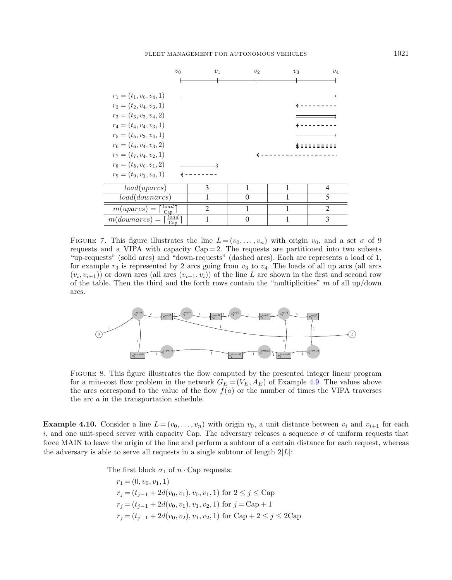FLEET MANAGEMENT FOR AUTONOMOUS VEHICLES 1021

<span id="page-14-0"></span>

<span id="page-14-1"></span>FIGURE 7. This figure illustrates the line  $L = (v_0, \ldots, v_n)$  with origin  $v_0$ , and a set  $\sigma$  of 9 requests and a VIPA with capacity  $Cap = 2$ . The requests are partitioned into two subsets "up-requests" (solid arcs) and "down-requests" (dashed arcs). Each arc represents a load of 1, for example  $r_3$  is represented by 2 arcs going from  $v_3$  to  $v_4$ . The loads of all up arcs (all arcs  $(v_i, v_{i+1})$  or down arcs (all arcs  $(v_{i+1}, v_i)$ ) of the line L are shown in the first and second row of the table. Then the third and the forth rows contain the "multiplicities"  $m$  of all up/down arcs.



Figure 8. This figure illustrates the flow computed by the presented integer linear program for a min-cost flow problem in the network  $G_E = (V_E, A_E)$  of Example [4.9.](#page-13-0) The values above the arcs correspond to the value of the flow  $f(a)$  or the number of times the VIPA traverses the arc a in the transportation schedule.

**Example 4.10.** Consider a line  $L = (v_0, \ldots, v_n)$  with origin  $v_0$ , a unit distance between  $v_i$  and  $v_{i+1}$  for each i, and one unit-speed server with capacity Cap. The adversary releases a sequence  $\sigma$  of uniform requests that force MAIN to leave the origin of the line and perform a subtour of a certain distance for each request, whereas the adversary is able to serve all requests in a single subtour of length  $2|L|$ :

The first block  $\sigma_1$  of  $n \cdot$  Cap requests:

$$
r_1 = (0, v_0, v_1, 1)
$$
  
\n
$$
r_j = (t_{j-1} + 2d(v_0, v_1), v_0, v_1, 1) \text{ for } 2 \le j \le \text{Cap}
$$
  
\n
$$
r_j = (t_{j-1} + 2d(v_0, v_1), v_1, v_2, 1) \text{ for } j = \text{Cap} + 1
$$
  
\n
$$
r_j = (t_{j-1} + 2d(v_0, v_2), v_1, v_2, 1) \text{ for } \text{Cap} + 2 \le j \le 2\text{Cap}
$$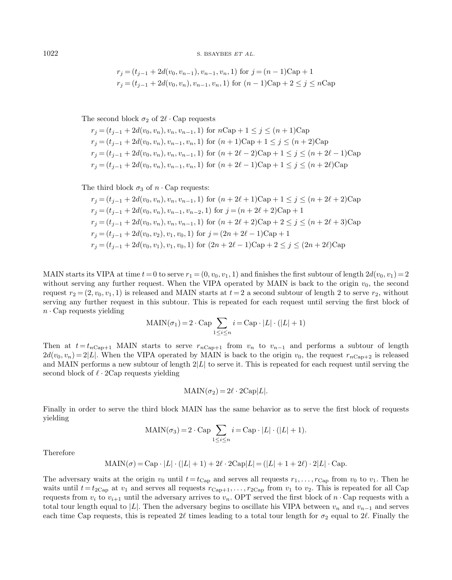1022 S. BSAYBES ET AL.

$$
r_j = (t_{j-1} + 2d(v_0, v_{n-1}), v_{n-1}, v_n, 1) \text{ for } j = (n-1) \text{Cap} + 1
$$
  

$$
r_j = (t_{j-1} + 2d(v_0, v_n), v_{n-1}, v_n, 1) \text{ for } (n-1) \text{Cap} + 2 \le j \le n \text{Cap}
$$

The second block  $\sigma_2$  of  $2\ell \cdot$  Cap requests

 $r_j = (t_{j-1} + 2d(v_0, v_n), v_n, v_{n-1}, 1)$  for  $n \text{Cap} + 1 \leq j \leq (n+1) \text{Cap}$  $r_j = (t_{j-1} + 2d(v_0, v_n), v_{n-1}, v_n, 1)$  for  $(n + 1)Cap + 1 \le j \le (n + 2)Cap$  $r_j = (t_{j-1} + 2d(v_0, v_n), v_n, v_{n-1}, 1)$  for  $(n + 2\ell - 2)Cap + 1 \le j \le (n + 2\ell - 1)Cap$  $r_j = (t_{j-1} + 2d(v_0, v_n), v_{n-1}, v_n, 1)$  for  $(n + 2\ell - 1)Cap + 1 \le j \le (n + 2\ell)Cap$ 

The third block  $\sigma_3$  of  $n \cdot$  Cap requests:

$$
r_j = (t_{j-1} + 2d(v_0, v_n), v_n, v_{n-1}, 1) \text{ for } (n + 2\ell + 1) \text{Cap} + 1 \le j \le (n + 2\ell + 2) \text{Cap}
$$
  
\n
$$
r_j = (t_{j-1} + 2d(v_0, v_n), v_{n-1}, v_{n-2}, 1) \text{ for } j = (n + 2\ell + 2) \text{Cap} + 1
$$
  
\n
$$
r_j = (t_{j-1} + 2d(v_0, v_n), v_n, v_{n-1}, 1) \text{ for } (n + 2\ell + 2) \text{Cap} + 2 \le j \le (n + 2\ell + 3) \text{Cap}
$$
  
\n
$$
r_j = (t_{j-1} + 2d(v_0, v_2), v_1, v_0, 1) \text{ for } j = (2n + 2\ell - 1) \text{Cap} + 1
$$
  
\n
$$
r_j = (t_{j-1} + 2d(v_0, v_1), v_1, v_0, 1) \text{ for } (2n + 2\ell - 1) \text{Cap} + 2 \le j \le (2n + 2\ell) \text{Cap}
$$

MAIN starts its VIPA at time  $t = 0$  to serve  $r_1 = (0, v_0, v_1, 1)$  and finishes the first subtour of length  $2d(v_0, v_1) = 2$ without serving any further request. When the VIPA operated by MAIN is back to the origin  $v_0$ , the second request  $r_2 = (2, v_0, v_1, 1)$  is released and MAIN starts at  $t = 2$  a second subtour of length 2 to serve  $r_2$ , without serving any further request in this subtour. This is repeated for each request until serving the first block of  $n \cdot$  Cap requests yielding

$$
MAIN(\sigma_1) = 2 \cdot Cap \sum_{1 \le i \le n} i = Cap \cdot |L| \cdot (|L| + 1)
$$

Then at  $t = t_{n\text{Cap}+1}$  MAIN starts to serve  $r_{n\text{Cap}+1}$  from  $v_n$  to  $v_{n-1}$  and performs a subtour of length  $2d(v_0, v_n) = 2|L|$ . When the VIPA operated by MAIN is back to the origin  $v_0$ , the request  $r_{n\text{Cap}+2}$  is released and MAIN performs a new subtour of length  $2|L|$  to serve it. This is repeated for each request until serving the second block of  $\ell \cdot 2Cap$  requests yielding

$$
MAIN(\sigma_2) = 2\ell \cdot 2\text{Cap}|L|.
$$

Finally in order to serve the third block MAIN has the same behavior as to serve the first block of requests yielding

$$
MAIN(\sigma_3) = 2 \cdot Cap \sum_{1 \le i \le n} i = Cap \cdot |L| \cdot (|L| + 1).
$$

Therefore

$$
MAIN(\sigma) = Cap \cdot |L| \cdot (|L|+1) + 2\ell \cdot 2Cap|L| = (|L|+1+2\ell) \cdot 2|L| \cdot Cap.
$$

The adversary waits at the origin  $v_0$  until  $t = t_{\text{Cap}}$  and serves all requests  $r_1, \ldots, r_{\text{Cap}}$  from  $v_0$  to  $v_1$ . Then he waits until  $t = t_{2Cap}$  at  $v_1$  and serves all requests  $r_{Cap+1}, \ldots, r_{2Cap}$  from  $v_1$  to  $v_2$ . This is repeated for all Cap requests from  $v_i$  to  $v_{i+1}$  until the adversary arrives to  $v_n$ . OPT served the first block of  $n \cdot$  Cap requests with a total tour length equal to |L|. Then the adversary begins to oscillate his VIPA between  $v_n$  and  $v_{n-1}$  and serves each time Cap requests, this is repeated 2 $\ell$  times leading to a total tour length for  $\sigma_2$  equal to 2 $\ell$ . Finally the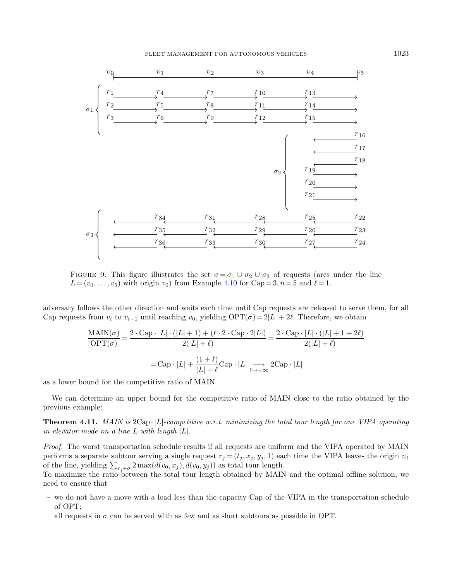

FIGURE 9. This figure illustrates the set  $\sigma = \sigma_1 \cup \sigma_2 \cup \sigma_3$  of requests (arcs under the line  $L = (v_0, \ldots, v_5)$  with origin  $v_0$ ) from Example [4.10](#page-13-1) for Cap = 3, n = 5 and  $\ell = 1$ .

adversary follows the other direction and waits each time until Cap requests are released to serve them, for all Cap requests from  $v_i$  to  $v_{i-1}$  until reaching  $v_0$ , yielding OPT( $\sigma$ ) = 2|L| + 2 $\ell$ . Therefore, we obtain

$$
\frac{\text{MAIN}(\sigma)}{\text{OPT}(\sigma)} = \frac{2 \cdot \text{Cap} \cdot |L| \cdot (|L| + 1) + (\ell \cdot 2 \cdot \text{Cap} \cdot 2|L|)}{2(|L| + \ell)} = \frac{2 \cdot \text{Cap} \cdot |L| \cdot (|L| + 1 + 2\ell)}{2(|L| + \ell)}
$$

$$
= \text{Cap} \cdot |L| + \frac{(1 + \ell)}{|L| + \ell} \text{Cap} \cdot |L| \underset{\ell \to +\infty}{\longrightarrow} 2\text{Cap} \cdot |L|
$$

as a lower bound for the competitive ratio of MAIN.

We can determine an upper bound for the competitive ratio of MAIN close to the ratio obtained by the previous example:

**Theorem 4.11.** MAIN is  $2Cap \cdot |L|$ -competitive w.r.t. minimizing the total tour length for one VIPA operating in elevator mode on a line L with length |L|.

Proof. The worst transportation schedule results if all requests are uniform and the VIPA operated by MAIN performs a separate subtour serving a single request  $r_j = (t_j, x_j, y_j, 1)$  each time the VIPA leaves the origin  $v_0$ of the line, yielding  $\sum_{r_j \in \sigma} 2 \max(d(v_0, x_j), d(v_0, y_j))$  as total tour length.

To maximize the ratio between the total tour length obtained by MAIN and the optimal offline solution, we need to ensure that

- we do not have a move with a load less than the capacity Cap of the VIPA in the transportation schedule of OPT;
- all requests in  $\sigma$  can be served with as few and as short subtours as possible in OPT.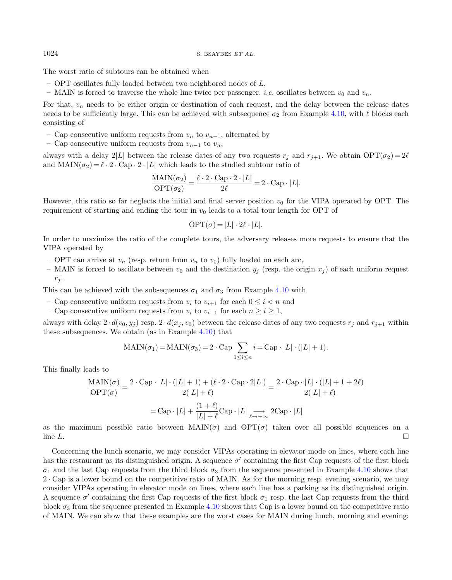The worst ratio of subtours can be obtained when

- OPT oscillates fully loaded between two neighbored nodes of L,
- MAIN is forced to traverse the whole line twice per passenger, *i.e.* oscillates between  $v_0$  and  $v_n$ .

For that,  $v_n$  needs to be either origin or destination of each request, and the delay between the release dates needs to be sufficiently large. This can be achieved with subsequence  $\sigma_2$  from Example [4.10,](#page-13-1) with  $\ell$  blocks each consisting of

- Cap consecutive uniform requests from  $v_n$  to  $v_{n-1}$ , alternated by
- Cap consecutive uniform requests from  $v_{n-1}$  to  $v_n$ ,

always with a delay 2|L| between the release dates of any two requests  $r_j$  and  $r_{j+1}$ . We obtain  $\text{OPT}(\sigma_2) = 2\ell$ and  $\text{MAIN}(\sigma_2) = \ell \cdot 2 \cdot \text{Cap} \cdot 2 \cdot |L|$  which leads to the studied subtour ratio of

$$
\frac{\text{MAIN}(\sigma_2)}{\text{OPT}(\sigma_2)} = \frac{\ell \cdot 2 \cdot \text{Cap} \cdot 2 \cdot |L|}{2\ell} = 2 \cdot \text{Cap} \cdot |L|.
$$

However, this ratio so far neglects the initial and final server position  $v_0$  for the VIPA operated by OPT. The requirement of starting and ending the tour in  $v_0$  leads to a total tour length for OPT of

$$
\text{OPT}(\sigma) = |L| \cdot 2\ell \cdot |L|.
$$

In order to maximize the ratio of the complete tours, the adversary releases more requests to ensure that the VIPA operated by

- OPT can arrive at  $v_n$  (resp. return from  $v_n$  to  $v_0$ ) fully loaded on each arc,
- MAIN is forced to oscillate between  $v_0$  and the destination  $y_j$  (resp. the origin  $x_j$ ) of each uniform request  $r_i$ .

This can be achieved with the subsequences  $\sigma_1$  and  $\sigma_3$  from Example [4.10](#page-13-1) with

- Cap consecutive uniform requests from  $v_i$  to  $v_{i+1}$  for each  $0 \leq i \leq n$  and
- Cap consecutive uniform requests from  $v_i$  to  $v_{i-1}$  for each  $n \ge i \ge 1$ ,

always with delay  $2 \cdot d(v_0, y_j)$  resp.  $2 \cdot d(x_j, v_0)$  between the release dates of any two requests  $r_j$  and  $r_{j+1}$  within these subsequences. We obtain (as in Example [4.10\)](#page-13-1) that

$$
MAIN(\sigma_1) = MAIN(\sigma_3) = 2 \cdot Cap \sum_{1 \le i \le n} i = Cap \cdot |L| \cdot (|L| + 1).
$$

This finally leads to

$$
\frac{\text{MAIN}(\sigma)}{\text{OPT}(\sigma)} = \frac{2 \cdot \text{Cap} \cdot |L| \cdot (|L| + 1) + (\ell \cdot 2 \cdot \text{Cap} \cdot 2|L|)}{2(|L| + \ell)} = \frac{2 \cdot \text{Cap} \cdot |L| \cdot (|L| + 1 + 2\ell)}{2(|L| + \ell)}
$$

$$
= \text{Cap} \cdot |L| + \frac{(1 + \ell)}{|L| + \ell} \text{Cap} \cdot |L| \underset{\ell \to +\infty}{\longrightarrow} 2\text{Cap} \cdot |L|
$$

as the maximum possible ratio between  $\text{MAIN}(\sigma)$  and  $\text{OPT}(\sigma)$  taken over all possible sequences on a  $\Box$  line L.

Concerning the lunch scenario, we may consider VIPAs operating in elevator mode on lines, where each line has the restaurant as its distinguished origin. A sequence  $\sigma'$  containing the first Cap requests of the first block  $\sigma_1$  and the last Cap requests from the third block  $\sigma_3$  from the sequence presented in Example [4.10](#page-13-1) shows that 2 · Cap is a lower bound on the competitive ratio of MAIN. As for the morning resp. evening scenario, we may consider VIPAs operating in elevator mode on lines, where each line has a parking as its distinguished origin. A sequence  $\sigma'$  containing the first Cap requests of the first block  $\sigma_1$  resp. the last Cap requests from the third block  $\sigma_3$  from the sequence presented in Example [4.10](#page-13-1) shows that Cap is a lower bound on the competitive ratio of MAIN. We can show that these examples are the worst cases for MAIN during lunch, morning and evening: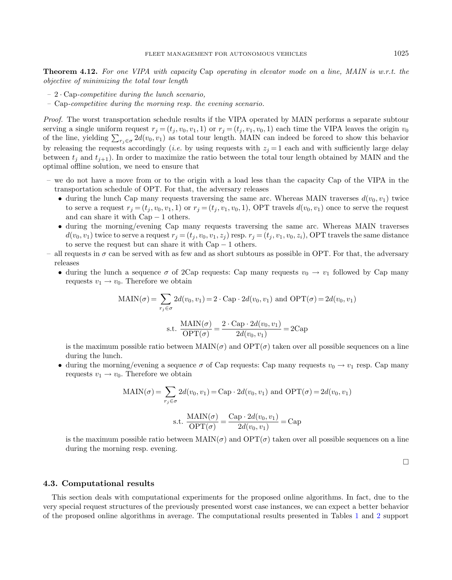Theorem 4.12. For one VIPA with capacity Cap operating in elevator mode on a line, MAIN is w.r.t. the objective of minimizing the total tour length

- $-2 \cdot \text{Cap-competitive during the lunch scenario},$
- Cap-competitive during the morning resp. the evening scenario.

Proof. The worst transportation schedule results if the VIPA operated by MAIN performs a separate subtour serving a single uniform request  $r_j = (t_j, v_0, v_1, 1)$  or  $r_j = (t_j, v_0, v_1, 1)$  each time the VIPA leaves the origin  $v_0$ of the line, yielding  $\sum_{r_j \in \sigma} 2d(v_0, v_1)$  as total tour length. MAIN can indeed be forced to show this behavior by releasing the requests accordingly (*i.e.* by using requests with  $z_j = 1$  each and with sufficiently large delay between  $t_i$  and  $t_{i+1}$ ). In order to maximize the ratio between the total tour length obtained by MAIN and the optimal offline solution, we need to ensure that

- we do not have a move from or to the origin with a load less than the capacity Cap of the VIPA in the transportation schedule of OPT. For that, the adversary releases
	- during the lunch Cap many requests traversing the same arc. Whereas MAIN traverses  $d(v_0, v_1)$  twice to serve a request  $r_j = (t_j, v_0, v_1, 1)$  or  $r_j = (t_j, v_1, v_0, 1)$ , OPT travels  $d(v_0, v_1)$  once to serve the request and can share it with Cap − 1 others.
	- during the morning/evening Cap many requests traversing the same arc. Whereas MAIN traverses  $d(v_0, v_1)$  twice to serve a request  $r_j = (t_j, v_0, v_1, z_j)$  resp.  $r_j = (t_j, v_1, v_0, z_i)$ , OPT travels the same distance to serve the request but can share it with  $Cap-1$  others.
- all requests in  $\sigma$  can be served with as few and as short subtours as possible in OPT. For that, the adversary releases
	- during the lunch a sequence  $\sigma$  of 2Cap requests: Cap many requests  $v_0 \to v_1$  followed by Cap many requests  $v_1 \rightarrow v_0$ . Therefore we obtain

$$
MAIN(\sigma) = \sum_{r_j \in \sigma} 2d(v_0, v_1) = 2 \cdot Cap \cdot 2d(v_0, v_1) \text{ and } OPT(\sigma) = 2d(v_0, v_1)
$$
  

$$
MAIN(\sigma) = 2 \cdot Cap \cdot 2d(v_0, v_1)
$$

s.t. 
$$
\frac{\text{MAIN}(\sigma)}{\text{OPT}(\sigma)} = \frac{2 \cdot \text{Cap} \cdot 2d(v_0, v_1)}{2d(v_0, v_1)} = 2\text{Cap}
$$

is the maximum possible ratio between  $\text{MAIN}(\sigma)$  and  $\text{OPT}(\sigma)$  taken over all possible sequences on a line during the lunch.

• during the morning/evening a sequence  $\sigma$  of Cap requests: Cap many requests  $v_0 \to v_1$  resp. Cap many requests  $v_1 \rightarrow v_0$ . Therefore we obtain

$$
MAIN(\sigma) = \sum_{r_j \in \sigma} 2d(v_0, v_1) = \text{Cap} \cdot 2d(v_0, v_1) \text{ and } \text{OPT}(\sigma) = 2d(v_0, v_1)
$$
  
s.t. 
$$
\frac{MAIN(\sigma)}{\text{OPT}(\sigma)} = \frac{\text{Cap} \cdot 2d(v_0, v_1)}{2d(v_0, v_1)} = \text{Cap}
$$

is the maximum possible ratio between  $\text{MAIN}(\sigma)$  and  $\text{OPT}(\sigma)$  taken over all possible sequences on a line during the morning resp. evening.

 $\Box$ 

#### 4.3. Computational results

This section deals with computational experiments for the proposed online algorithms. In fact, due to the very special request structures of the previously presented worst case instances, we can expect a better behavior of the proposed online algorithms in average. The computational results presented in Tables [1](#page-19-0) and [2](#page-19-1) support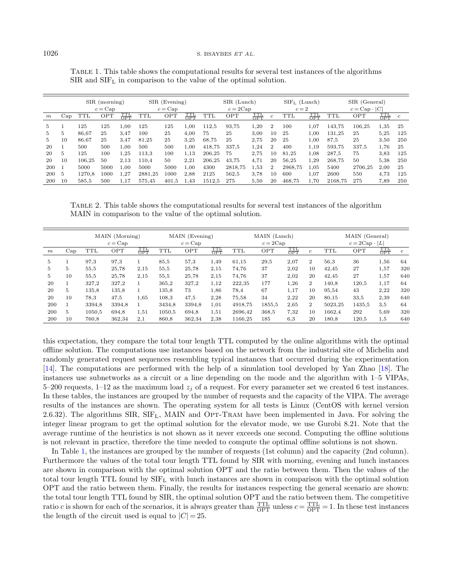|     |              | $SIR$ (morning)<br>$c = \text{Cap}$ |      | $SIR$ (Evening)<br>$c = \text{Cap}$ |            |       | SIR (Lunch)<br>$c = 2Cap$       |        |         |                                 | $SIFL$ (Lunch)<br>$c=2$ |            | SIR (General)<br>$c = Cap \cdot  C $ |         |         |                                 |                |
|-----|--------------|-------------------------------------|------|-------------------------------------|------------|-------|---------------------------------|--------|---------|---------------------------------|-------------------------|------------|--------------------------------------|---------|---------|---------------------------------|----------------|
| m   | $_{\rm Cap}$ | TTL                                 | OPT  | $\frac{\text{TTL}}{\text{OPT}}$     | <b>TTL</b> | OPT   | $\frac{\text{TTL}}{\text{OPT}}$ | TTL    | OPT     | $\frac{\text{TTL}}{\text{OPT}}$ | $\mathfrak{c}$          | <b>TTL</b> | TTL<br>OPT                           | TTL     | OPT     | $\frac{\text{TTL}}{\text{OPT}}$ | $\mathfrak{c}$ |
| 5.  |              | 125                                 | 125  | 1,00                                | 125        | 125   | 1.00                            | 112.5  | 93.75   | 1,20                            | $\mathbf{2}$            | 100        | 1,07                                 | 143.75  | 106.25  | 1,35                            | 25             |
| 5.  | 5            | 86.67                               | 25   | 3.47                                | 100        | 25    | 4.00                            | 75     | 25      | 3.00                            | 10                      | 25         | 1,00                                 | 131.25  | 25      | 5,25                            | 125            |
| 5.  | 10           | 86.67                               | 25   | 3.47                                | 81.25      | 25    | 3,25                            | 68.75  | 25      | 2.75                            | 20                      | 25         | 1,00                                 | 87.5    | 25      | 3,50                            | 250            |
| 20  |              | 500                                 | 500  | 1,00                                | 500        | 500   | 1,00                            | 418.75 | 337.5   | 1,24                            | 2                       | 400        | 1.19                                 | 593.75  | 337.5   | 1,76                            | 25             |
| 20  | 5            | 125                                 | 100  | 1,25                                | 113.3      | 100   | 1,13                            | 206.25 | 75      | 2,75                            | 10                      | 81.25      | 1,08                                 | 287.5   | 75      | 3,83                            | 125            |
| 20  | 10           | 106.25                              | 50   | 2,13                                | 110.4      | 50    | 2,21                            | 206.25 | 43.75   | 4,71                            | 20                      | 56,25      | 1,29                                 | 268.75  | 50      | 5,38                            | 250            |
| 200 |              | 5000                                | 5000 | 1.00                                | 5000       | 5000  | 1,00                            | 4300   | 2818.75 | 1.53                            | 2                       | 2968.75    | 1.05                                 | 5400    | 2706.25 | 2,00                            | 25             |
| 200 | 5            | 1270.8                              | 1000 | 1.27                                | 2881.25    | 1000  | 2.88                            | 2125   | 562.5   | 3.78                            | 10                      | 600        | 1.07                                 | 2600    | 550     | 4.73                            | 125            |
| 200 | 10           | 585.5                               | 500  | 1,17                                | 575.45     | 401.5 | 1.43                            | 1512.5 | 275     | 5,50                            | 20                      | 468.75     | 1.70                                 | 2168.75 | 275     | 7,89                            | 250            |

<span id="page-19-1"></span><span id="page-19-0"></span>Table 1. This table shows the computational results for several test instances of the algorithms SIR and SIF<sup>L</sup> in comparison to the value of the optimal solution.

Table 2. This table shows the computational results for several test instances of the algorithm MAIN in comparison to the value of the optimal solution.

|                  |     | MAIN (Morning)<br>$c = \text{Cap}$ |        |            | MAIN (Evening)<br>$c = \text{Cap}$ |        |            | MAIN (Lunch)<br>$c = 2Cap$ |        |            |                | MAIN (General) |                      |            |                |
|------------------|-----|------------------------------------|--------|------------|------------------------------------|--------|------------|----------------------------|--------|------------|----------------|----------------|----------------------|------------|----------------|
|                  |     |                                    |        |            |                                    |        |            |                            |        |            |                |                | $c = 2Cap \cdot  L $ |            |                |
| $\boldsymbol{m}$ | Cap | TTL                                | OPT    | TTL<br>OPT | <b>TTL</b>                         | OPT    | TTL<br>OPT | <b>TTL</b>                 | OPT    | TTL<br>OPT | $\mathfrak{c}$ | TTL            | OPT                  | TTL<br>OPT | $\mathfrak{c}$ |
| 5.               |     | 97,3                               | 97.3   |            | 85,5                               | 57,3   | 1,49       | 61,15                      | 29,5   | 2,07       | $\overline{2}$ | 56.3           | 36                   | 1,56       | 64             |
| 5.               | 5   | 55,5                               | 25,78  | 2,15       | 55,5                               | 25,78  | 2,15       | 74.76                      | 37     | 2,02       | 10             | 42,45          | 27                   | 1,57       | 320            |
| 5.               | 10  | 55.5                               | 25,78  | 2.15       | 55,5                               | 25,78  | 2.15       | 74.76                      | 37     | 2,02       | 20             | 42.45          | 27                   | 1,57       | 640            |
| 20               |     | 327.2                              | 327,2  |            | 365,2                              | 327,2  | 1,12       | 222,35                     | 177    | 1,26       | $\overline{2}$ | 140,8          | 120.5                | 1,17       | 64             |
| 20               | 5   | 135.8                              | 135.8  |            | 135.8                              | 73     | 1,86       | 78,4                       | 67     | 1,17       | 10             | 95,54          | 43                   | 2,22       | 320            |
| 20               | 10  | 78.3                               | 47,5   | 1.65       | 108.3                              | 47,5   | 2,28       | 75.58                      | 34     | 2.22       | 20             | 80.15          | 33,5                 | 2,39       | 640            |
| 200              |     | 3394.8                             | 3394.8 |            | 3434.8                             | 3394.8 | 1.01       | 4918.75                    | 1855.5 | 2.65       | $\overline{2}$ | 5023.25        | 1435.5               | 3.5        | 64             |
| 200              | 5.  | 1050.5                             | 694.8  | 1,51       | 1050.5                             | 694.8  | 1,51       | 2696.42                    | 368.5  | 7,32       | 10             | 1662.4         | 292                  | 5,69       | 320            |
| 200              | 10  | 760.8                              | 362,34 | 2,1        | 860.8                              | 362,34 | 2,38       | 1166,25                    | 185    | 6,3        | 20             | 180,8          | 120,5                | 1,5        | 640            |

this expectation, they compare the total tour length TTL computed by the online algorithms with the optimal offline solution. The computations use instances based on the network from the industrial site of Michelin and randomly generated request sequences resembling typical instances that occurred during the experimentation [\[14\]](#page-24-3). The computations are performed with the help of a simulation tool developed by Yan Zhao [\[18\]](#page-24-17). The instances use subnetworks as a circuit or a line depending on the mode and the algorithm with 1–5 VIPAs, 5–200 requests, 1–12 as the maximum load  $z_i$  of a request. For every parameter set we created 6 test instances. In these tables, the instances are grouped by the number of requests and the capacity of the VIPA. The average results of the instances are shown. The operating system for all tests is Linux (CentOS with kernel version 2.6.32). The algorithms  $SIR$ ,  $SIF_L$ , MAIN and OPT-TRAM have been implemented in Java. For solving the integer linear program to get the optimal solution for the elevator mode, we use Gurobi 8.21. Note that the average runtime of the heuristics is not shown as it never exceeds one second. Computing the offline solutions is not relevant in practice, therefore the time needed to compute the optimal offline solutions is not shown.

In Table [1,](#page-19-0) the instances are grouped by the number of requests (1st column) and the capacity (2nd column). Furthermore the values of the total tour length TTL found by SIR with morning, evening and lunch instances are shown in comparison with the optimal solution OPT and the ratio between them. Then the values of the total tour length TTL found by  $SIF<sub>L</sub>$  with lunch instances are shown in comparison with the optimal solution OPT and the ratio between them. Finally, the results for instances respecting the general scenario are shown: the total tour length TTL found by SIR, the optimal solution OPT and the ratio between them. The competitive ratio c is shown for each of the scenarios, it is always greater than  $\frac{TH}{OPT}$  unless  $c = \frac{TH}{OPT} = 1$ . In these test instances the length of the circuit used is equal to  $|C| = 25$ .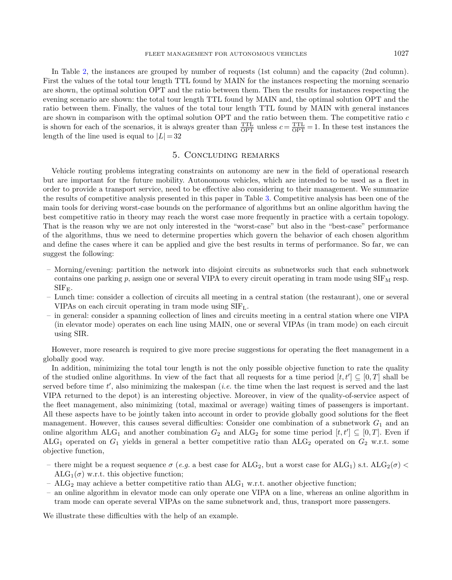In Table [2,](#page-19-1) the instances are grouped by number of requests (1st column) and the capacity (2nd column). First the values of the total tour length TTL found by MAIN for the instances respecting the morning scenario are shown, the optimal solution OPT and the ratio between them. Then the results for instances respecting the evening scenario are shown: the total tour length TTL found by MAIN and, the optimal solution OPT and the ratio between them. Finally, the values of the total tour length TTL found by MAIN with general instances are shown in comparison with the optimal solution  $OPT$  and the ratio between them. The competitive ratio  $c$ is shown for each of the scenarios, it is always greater than  $\frac{TTL}{OPT}$  unless  $c = \frac{TTL}{OPT} = 1$ . In these test instances the length of the line used is equal to  $|L| = 32$ 

### 5. Concluding remarks

Vehicle routing problems integrating constraints on autonomy are new in the field of operational research but are important for the future mobility. Autonomous vehicles, which are intended to be used as a fleet in order to provide a transport service, need to be effective also considering to their management. We summarize the results of competitive analysis presented in this paper in Table [3.](#page-21-0) Competitive analysis has been one of the main tools for deriving worst-case bounds on the performance of algorithms but an online algorithm having the best competitive ratio in theory may reach the worst case more frequently in practice with a certain topology. That is the reason why we are not only interested in the "worst-case" but also in the "best-case" performance of the algorithms, thus we need to determine properties which govern the behavior of each chosen algorithm and define the cases where it can be applied and give the best results in terms of performance. So far, we can suggest the following:

- Morning/evening: partition the network into disjoint circuits as subnetworks such that each subnetwork contains one parking  $p$ , assign one or several VIPA to every circuit operating in tram mode using  $\text{SIF}_{\text{M}}$  resp.  $SIF_{E}$ .
- Lunch time: consider a collection of circuits all meeting in a central station (the restaurant), one or several VIPAs on each circuit operating in tram mode using  $SIF_L$ .
- in general: consider a spanning collection of lines and circuits meeting in a central station where one VIPA (in elevator mode) operates on each line using MAIN, one or several VIPAs (in tram mode) on each circuit using SIR.

However, more research is required to give more precise suggestions for operating the fleet management in a globally good way.

In addition, minimizing the total tour length is not the only possible objective function to rate the quality of the studied online algorithms. In view of the fact that all requests for a time period  $[t, t'] \subseteq [0, T]$  shall be served before time  $t'$ , also minimizing the makespan (*i.e.* the time when the last request is served and the last VIPA returned to the depot) is an interesting objective. Moreover, in view of the quality-of-service aspect of the fleet management, also minimizing (total, maximal or average) waiting times of passengers is important. All these aspects have to be jointly taken into account in order to provide globally good solutions for the fleet management. However, this causes several difficulties: Consider one combination of a subnetwork  $G_1$  and an online algorithm ALG<sub>1</sub> and another combination  $G_2$  and ALG<sub>2</sub> for some time period  $[t, t'] \subseteq [0, T]$ . Even if ALG<sub>1</sub> operated on  $G_1$  yields in general a better competitive ratio than ALG<sub>2</sub> operated on  $G_2$  w.r.t. some objective function,

- there might be a request sequence  $\sigma$  (e.g. a best case for ALG<sub>2</sub>, but a worst case for ALG<sub>1</sub>) s.t. ALG<sub>2</sub>( $\sigma$ ) <  $ALG_1(\sigma)$  w.r.t. this objective function;
- $ALG_2$  may achieve a better competitive ratio than  $ALG_1$  w.r.t. another objective function;
- an online algorithm in elevator mode can only operate one VIPA on a line, whereas an online algorithm in tram mode can operate several VIPAs on the same subnetwork and, thus, transport more passengers.

We illustrate these difficulties with the help of an example.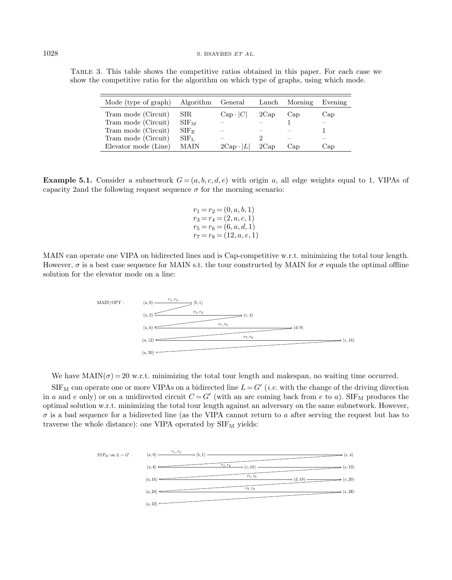<span id="page-21-0"></span>Table 3. This table shows the competitive ratios obtained in this paper. For each case we show the competitive ratio for the algorithm on which type of graphs, using which mode.

| Mode (type of graph) | Algorithm General |                     | Lunch | Morning | Evening |
|----------------------|-------------------|---------------------|-------|---------|---------|
| Tram mode (Circuit)  | SIR.              | $Cap \cdot  C $     | 2Cap  | Cap     | Cap     |
| Tram mode (Circuit)  | $SIF_{M}$         |                     |       |         |         |
| Tram mode (Circuit)  | $SIF_{E}$         |                     |       |         |         |
| Tram mode (Circuit)  | SIF <sub>L</sub>  |                     |       |         |         |
| Elevator mode (Line) | MAIN              | $2Cap \cdot  $<br>L | 2Cap  | Cap     | Cap     |

**Example 5.1.** Consider a subnetwork  $G = (a, b, c, d, e)$  with origin a, all edge weights equal to 1, VIPAs of capacity 2and the following request sequence  $\sigma$  for the morning scenario:

$$
r_1 = r_2 = (0, a, b, 1)
$$
  
\n
$$
r_3 = r_4 = (2, a, c, 1)
$$
  
\n
$$
r_5 = r_6 = (6, a, d, 1)
$$
  
\n
$$
r_7 = r_8 = (12, a, e, 1)
$$

MAIN can operate one VIPA on bidirected lines and is Cap-competitive w.r.t. minimizing the total tour length. However,  $\sigma$  is a best case sequence for MAIN s.t. the tour constructed by MAIN for  $\sigma$  equals the optimal offline solution for the elevator mode on a line:



We have  $\text{MAIN}(\sigma) = 20 \text{ w.r.t. minimizing the total tour length and makespan, no waiting time occurred.}$ 

 $SIF_M$  can operate one or more VIPAs on a bidirected line  $L = G'$  (*i.e.* with the change of the driving direction in a and e only) or on a unidirected circuit  $C = G'$  (with an arc coming back from e to a). SIF<sub>M</sub> produces the optimal solution w.r.t. minimizing the total tour length against an adversary on the same subnetwork. However,  $\sigma$  is a bad sequence for a bidirected line (as the VIPA cannot return to a after serving the request but has to traverse the whole distance): one VIPA operated by  $\text{SIF}_{\text{M}}$  yields:

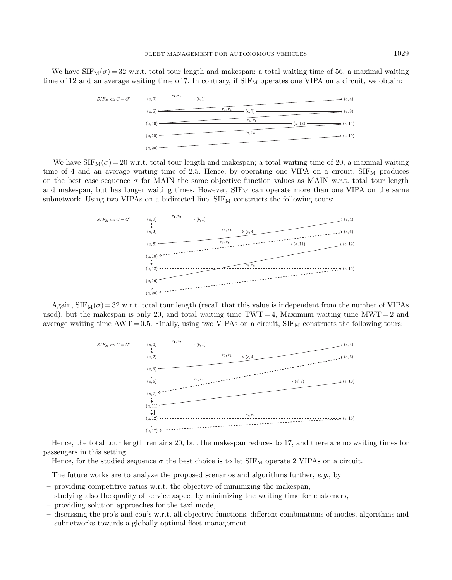We have  $SIF_M(\sigma) = 32$  w.r.t. total tour length and makespan; a total waiting time of 56, a maximal waiting time of 12 and an average waiting time of 7. In contrary, if  $SIF_M$  operates one VIPA on a circuit, we obtain:



We have  $SIF_M(\sigma) = 20$  w.r.t. total tour length and makespan; a total waiting time of 20, a maximal waiting time of 4 and an average waiting time of 2.5. Hence, by operating one VIPA on a circuit,  $SIF_M$  produces on the best case sequence  $\sigma$  for MAIN the same objective function values as MAIN w.r.t. total tour length and makespan, but has longer waiting times. However,  $SIF_M$  can operate more than one VIPA on the same subnetwork. Using two VIPAs on a bidirected line,  $SIF_M$  constructs the following tours:



Again,  $SIF_M(\sigma) = 32$  w.r.t. total tour length (recall that this value is independent from the number of VIPAs used), but the makespan is only 20, and total waiting time TWT = 4, Maximum waiting time  $MWT = 2$  and average waiting time  $AWT = 0.5$ . Finally, using two VIPAs on a circuit,  $SIF_M$  constructs the following tours:



Hence, the total tour length remains 20, but the makespan reduces to 17, and there are no waiting times for passengers in this setting.

Hence, for the studied sequence  $\sigma$  the best choice is to let  $\text{SIF}_{\text{M}}$  operate 2 VIPAs on a circuit.

The future works are to analyze the proposed scenarios and algorithms further,  $e.g.,$  by

- providing competitive ratios w.r.t. the objective of minimizing the makespan,
- studying also the quality of service aspect by minimizing the waiting time for customers,
- providing solution approaches for the taxi mode,
- discussing the pro's and con's w.r.t. all objective functions, different combinations of modes, algorithms and subnetworks towards a globally optimal fleet management.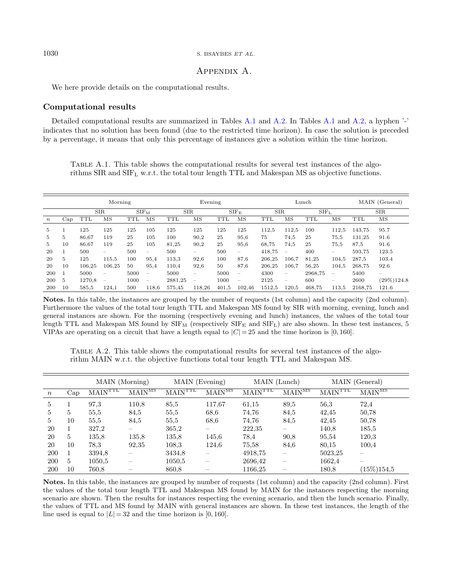<span id="page-23-0"></span>We here provide details on the computational results.

# Computational results

Detailed computational results are summarized in Tables [A.1](#page-23-0) and [A.2.](#page-23-1) In Tables [A.1](#page-23-0) and [A.2,](#page-23-1) a hyphen '-' indicates that no solution has been found (due to the restricted time horizon). In case the solution is preceded by a percentage, it means that only this percentage of instances give a solution within the time horizon.

Table A.1. This table shows the computational results for several test instances of the algorithms  $SIR$  and  $SIF<sub>L</sub>$  w.r.t. the total tour length TTL and Makespan MS as objective functions.

<span id="page-23-1"></span>

|                  |     | Morning    |                                       |           |                          | Evening    |                                 |           |                                 | Lunch      |                          |                  |                          | MAIN (General) |                                       |  |
|------------------|-----|------------|---------------------------------------|-----------|--------------------------|------------|---------------------------------|-----------|---------------------------------|------------|--------------------------|------------------|--------------------------|----------------|---------------------------------------|--|
|                  |     | <b>SIR</b> |                                       | $SIF_{M}$ |                          | <b>SIR</b> |                                 | $SIF_{E}$ |                                 | <b>SIR</b> |                          | SIF <sub>L</sub> |                          | <b>SIR</b>     |                                       |  |
| $\boldsymbol{n}$ | Cap | <b>TTL</b> | $\overline{\rm MS}$                   | TTL       | $_{\rm MS}$              | TTL        | $_{\rm MS}$                     | TTL       | $\overline{\rm MS}$             | TTL        | $_{\rm MS}$              | TTL              | $_{\rm MS}$              | <b>TTL</b>     | $\overline{\rm MS}$                   |  |
| 5.               |     | 125        | 125                                   | 125       | 105                      | 125        | 125                             | 125       | 125                             | 112.5      | 112.5                    | 100              | 112,5                    | 143,75         | 95.7                                  |  |
| 5.               | 5   | 86,67      | 119                                   | 25        | 105                      | 100        | 90,2                            | 25        | 95,6                            | 75         | 74,5                     | 25               | 75,5                     | 131,25         | 91.6                                  |  |
| 5                | 10  | 86.67      | 119                                   | 25        | 105                      | 81,25      | 90,2                            | 25        | 95,6                            | 68,75      | 74,5                     | 25               | 75.5                     | 87,5           | 91.6                                  |  |
| 20               |     | 500        | $\hspace{0.1mm}-\hspace{0.1mm}$       | 500       |                          | 500        | $\hspace{0.1mm}-\hspace{0.1mm}$ | 500       | $\hspace{0.1mm}-\hspace{0.1mm}$ | 418.75     | $\overline{\phantom{m}}$ | 400              | $\hspace{0.05cm}$        | 593.75         | 123.5                                 |  |
| 20               | 5   | 125        | 115,5                                 | 100       | 95.4                     | 113.3      | 92,6                            | 100       | 87,6                            | 206.25     | 106.7                    | 81.25            | 104.5                    | 287.5          | 103.4                                 |  |
| 20               | 10  | 106,25     | 106,25                                | 50        | 95,4                     | 110,4      | 92,6                            | 50        | 87,6                            | 206,25     | 106.7                    | 56,25            | 104.5                    | 268,75         | 92.6                                  |  |
| 200              |     | 5000       | $\overline{\phantom{m}}$              | 5000      |                          | 5000       | $\hspace{0.1mm}-\hspace{0.1mm}$ | 5000      | $\hspace{0.1mm}-\hspace{0.1mm}$ | 4300       | -                        | 2968.75          | $\overline{\phantom{a}}$ | 5400           | $\hspace{1.0cm} \rule{1.5cm}{0.15cm}$ |  |
| 200              | 5   | 1270.8     | $\hspace{1.0cm} \rule{1.5cm}{0.15cm}$ | 1000      | $\overline{\phantom{m}}$ | 2881,25    | $\hspace{0.1mm}-\hspace{0.1mm}$ | 1000      | $\hspace{0.1mm}-\hspace{0.1mm}$ | 2125       | $\overline{\phantom{0}}$ | 600              | $\hspace{0.05cm}$        | 2600           | $(29\%)124.8$                         |  |
| 200              | 10  | 585.5      | 124,1                                 | 500       | 118.6                    | 575,45     | 118,26                          | 401.5     | 102,46                          | 1512,5     | 120,5                    | 468.75           | 113,5                    | 2168,75        | 121.6                                 |  |

Notes. In this table, the instances are grouped by the number of requests (1st column) and the capacity (2nd column). Furthermore the values of the total tour length TTL and Makespan MS found by SIR with morning, evening, lunch and general instances are shown. For the morning (respectively evening and lunch) instances, the values of the total tour length TTL and Makespan MS found by  $SIF_M$  (respectively  $SIF_E$  and  $SIF_L$ ) are also shown. In these test instances, 5 VIPAs are operating on a circuit that have a length equal to  $|C| = 25$  and the time horizon is [0, 160].

Table A.2. This table shows the computational results for several test instances of the algorithm MAIN w.r.t. the objective functions total tour length TTL and Makespan MS.

|                  |     | MAIN (Morning)                        |                    | MAIN (Evening)              |                                      | MAIN (Lunch)                          |                          |                                       | MAIN (General)                       |
|------------------|-----|---------------------------------------|--------------------|-----------------------------|--------------------------------------|---------------------------------------|--------------------------|---------------------------------------|--------------------------------------|
| $\boldsymbol{n}$ | Cap | $\overline{\text{MAIN}^{\text{TTL}}}$ | MAIN <sup>MS</sup> | $\mathrm{M\bar{A}IN^{TTL}}$ | $\overline{\text{MAIN}^{\text{MS}}}$ | $\overline{\text{MAIN}^{\text{TTL}}}$ | MAIN <sup>MS</sup>       | $\overline{\text{MAIN}^{\text{TTL}}}$ | $\overline{\text{MAIN}^{\text{MS}}}$ |
| 5                |     | 97.3                                  | 110.8              | 85,5                        | 117,67                               | 61,15                                 | 89,5                     | 56.3                                  | 72,4                                 |
| 5                | 5   | 55,5                                  | 84,5               | 55,5                        | 68,6                                 | 74.76                                 | 84,5                     | 42,45                                 | 50.78                                |
| 5                | 10  | 55,5                                  | 84,5               | 55,5                        | 68,6                                 | 74.76                                 | 84,5                     | 42,45                                 | 50.78                                |
| 20               |     | 327,2                                 |                    | 365,2                       |                                      | 222,35                                |                          | 140,8                                 | 185,5                                |
| 20               | 5   | 135,8                                 | 135,8              | 135,8                       | 145,6                                | 78.4                                  | 90,8                     | 95,54                                 | 120,3                                |
| 20               | 10  | 78.3                                  | 92,35              | 108,3                       | 124,6                                | 75,58                                 | 84,6                     | 80,15                                 | 100,4                                |
| 200              |     | 3394,8                                |                    | 3434,8                      |                                      | 4918.75                               | $\overline{\phantom{0}}$ | 5023,25                               |                                      |
| 200              | 5   | 1050.5                                |                    | 1050,5                      |                                      | 2696,42                               | $\overline{\phantom{m}}$ | 1662,4                                |                                      |
| 200              | 10  | 760.8                                 |                    | 860,8                       |                                      | 1166,25                               |                          | 180.8                                 | $(15\%)154.5$                        |

Notes. In this table, the instances are grouped by number of requests (1st column) and the capacity (2nd column). First the values of the total tour length TTL and Makespan MS found by MAIN for the instances respecting the morning scenario are shown. Then the results for instances respecting the evening scenario, and then the lunch scenario. Finally, the values of TTL and MS found by MAIN with general instances are shown. In these test instances, the length of the line used is equal to  $|L| = 32$  and the time horizon is [0, 160].